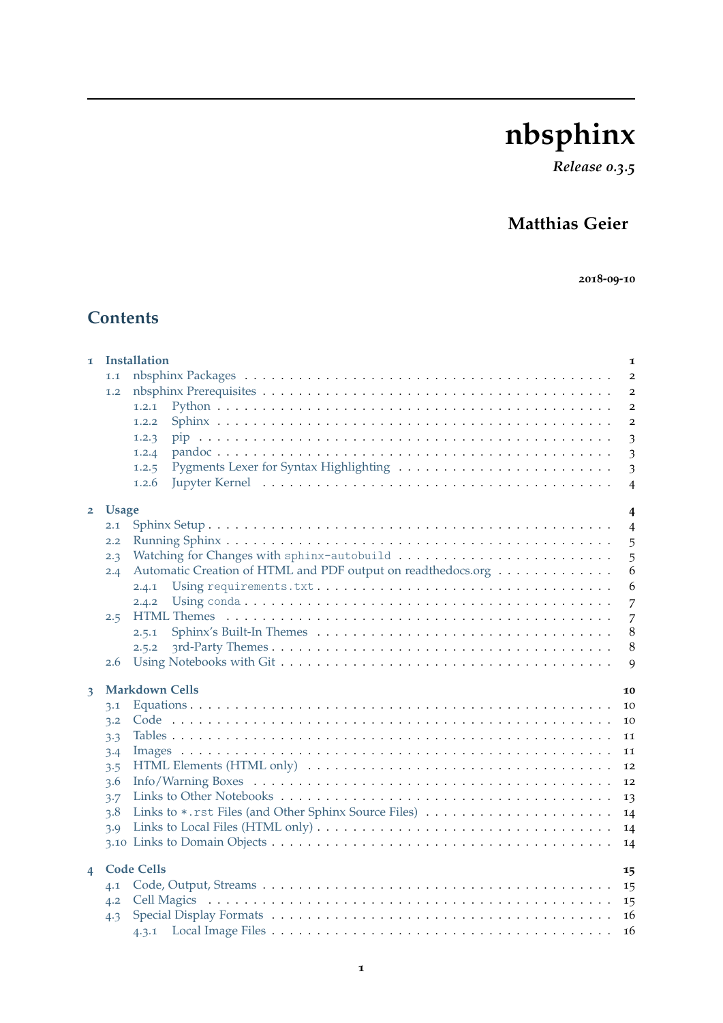# **nbsphinx**

*Release 0.3.5*

# **Matthias Geier**

**-09-10**

# **Contents**

| $\mathbf{I}$   |              | Installation                                                                                                           | 1                       |
|----------------|--------------|------------------------------------------------------------------------------------------------------------------------|-------------------------|
|                | 1.1          |                                                                                                                        | $\overline{2}$          |
|                | 1.2          |                                                                                                                        | $\overline{2}$          |
|                |              | 1, 2, 1                                                                                                                | $\overline{2}$          |
|                |              | 1.2.2                                                                                                                  | $\overline{\mathbf{c}}$ |
|                |              | 1.2.3                                                                                                                  | 3                       |
|                |              | 1.2.4                                                                                                                  | $\overline{\mathbf{3}}$ |
|                |              | 1.2.5                                                                                                                  | 3                       |
|                |              | 1.2.6                                                                                                                  | $\overline{4}$          |
| $\overline{2}$ | <b>Usage</b> |                                                                                                                        | 4                       |
|                | 2.1          |                                                                                                                        | $\overline{4}$          |
|                | 2.2          |                                                                                                                        | 5                       |
|                | 2.3          |                                                                                                                        | 5                       |
|                | 2.4          | Automatic Creation of HTML and PDF output on readthedocs.org                                                           | 6                       |
|                |              | 2.4.1                                                                                                                  | 6                       |
|                |              | 2.4.2                                                                                                                  | 7                       |
|                | 2.5          |                                                                                                                        | 7                       |
|                |              | 2.5.1                                                                                                                  | 8                       |
|                |              | 2.5.2                                                                                                                  | 8                       |
|                | 2.6          |                                                                                                                        | 9                       |
| 3              |              | <b>Markdown Cells</b>                                                                                                  | 10                      |
|                | 3.1          |                                                                                                                        | 10                      |
|                | 3.2          |                                                                                                                        | 10                      |
|                | 3.3          |                                                                                                                        | 11                      |
|                | 3.4          |                                                                                                                        | 11                      |
|                | 3.5          | HTML Elements (HTML only) $\dots \dots \dots \dots \dots \dots \dots \dots \dots \dots \dots \dots \dots \dots$        | 12                      |
|                | 3.6          |                                                                                                                        | 12                      |
|                | 3.7          |                                                                                                                        | 13                      |
|                | 3.8          | Links to *.rst Files (and Other Sphinx Source Files)                                                                   | 14                      |
|                | 3.9          | Links to Local Files (HTML only) $\dots \dots \dots \dots \dots \dots \dots \dots \dots \dots \dots \dots \dots \dots$ | 14                      |
|                |              |                                                                                                                        | 14                      |
|                |              | <b>Code Cells</b>                                                                                                      |                         |
| $\overline{4}$ | 4.1          |                                                                                                                        | 15<br>15                |
|                | 4.2          |                                                                                                                        | 15                      |
|                | 4.3          |                                                                                                                        | 16                      |
|                |              |                                                                                                                        | 16                      |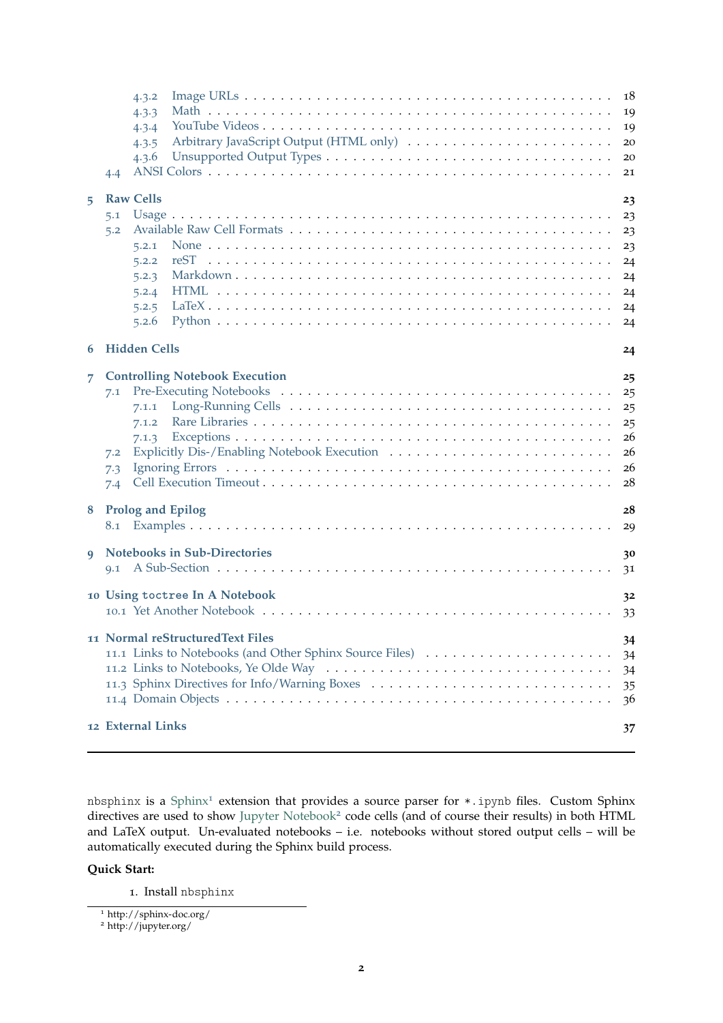|    | 4.4                      | 4.3.2<br>4.3.3<br>4.3.4<br>4.3.5<br>4.3.6                              |                                                                                                                                              | 18<br>19<br>19<br>20<br>20<br>21                   |
|----|--------------------------|------------------------------------------------------------------------|----------------------------------------------------------------------------------------------------------------------------------------------|----------------------------------------------------|
| 5  | 5.1<br>5.2               | <b>Raw Cells</b><br>5.2.1<br>5.2.2<br>5.2.3<br>5.2.4<br>5.2.5<br>5.2.6 | reST                                                                                                                                         | 23<br>23<br>23<br>23<br>24<br>24<br>24<br>24<br>24 |
| 6  |                          | <b>Hidden Cells</b>                                                    |                                                                                                                                              | 24                                                 |
| 7. | 7.1<br>7.2<br>7.3<br>7.4 | 7.1.1<br>7.1.2<br>7.1.3                                                | <b>Controlling Notebook Execution</b>                                                                                                        | 25<br>25<br>25<br>25<br>26<br>26<br>26<br>28       |
| 8  | 8.1                      |                                                                        | <b>Prolog and Epilog</b>                                                                                                                     | 28<br>29                                           |
| 9  | Q.1                      |                                                                        | <b>Notebooks in Sub-Directories</b>                                                                                                          | 30<br>31                                           |
|    |                          |                                                                        | 10 Using toctree In A Notebook                                                                                                               | 3 <sup>2</sup><br>33                               |
|    |                          | 12 External Links                                                      | 11 Normal reStructuredText Files<br>11.1 Links to Notebooks (and Other Sphinx Source Files)<br>11.3 Sphinx Directives for Info/Warning Boxes | 34<br>34<br>34<br>35<br>36<br>37                   |

nbsphinx is a [Sphinx](http://sphinx-doc.org/)<sup>[1](#page-1-0)</sup> extension that provides a source parser for  $*$ . ipynb files. Custom Sphinx directives are used to show [Jupyter Notebook](http://jupyter.org/)<sup>[2](#page-1-1)</sup> code cells (and of course their results) in both HTML and LaTeX output. Un-evaluated notebooks – i.e. notebooks without stored output cells – will be automatically executed during the Sphinx build process.

#### **Quick Start:**

. Install nbsphinx

<span id="page-1-0"></span>http://sphinx-doc.org/

<span id="page-1-1"></span>http://jupyter.org/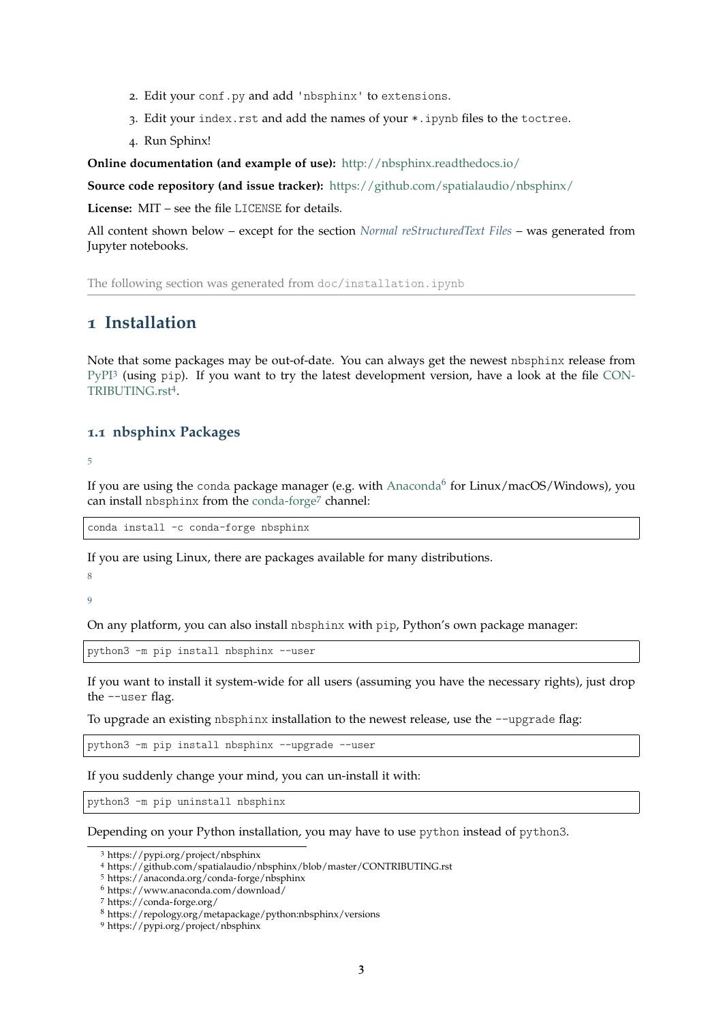- 2. Edit your conf.py and add 'nbsphinx' to extensions.
- 3. Edit your index.rst and add the names of your \*.ipynb files to the toctree.
- 4. Run Sphinx!

**Online documentation (and example of use):** <http://nbsphinx.readthedocs.io/>

**Source code repository (and issue tracker):** <https://github.com/spatialaudio/nbsphinx/>

**License:** MIT – see the file LICENSE for details.

All content shown below – except for the section *[Normal reStructuredText Files](#page-33-0)* – was generated from Jupyter notebooks.

The following section was generated from doc/installation.ipynb

### <span id="page-2-0"></span>**1 Installation**

Note that some packages may be out-of-date. You can always get the newest nbsphinx release from [PyPI](https://pypi.org/project/nbsphinx)<sup>[3](#page-2-2)</sup> (using pip). If you want to try the latest development version, have a look at the file [CON-](https://github.com/spatialaudio/nbsphinx/blob/master/CONTRIBUTING.rst)[TRIBUTING.rst](https://github.com/spatialaudio/nbsphinx/blob/master/CONTRIBUTING.rst)[4](#page-2-3) .

#### <span id="page-2-1"></span>**1.1 nbsphinx Packages**

[5](#page-2-4)

If you are using the conda package manager (e.g. with [Anaconda](https://www.anaconda.com/download/)<sup>[6](#page-2-5)</sup> for Linux/macOS/Windows), you can install nbsphinx from the [conda-forge](https://conda-forge.org/)[7](#page-2-6) channel:

conda install -c conda-forge nbsphinx

If you are using Linux, there are packages available for many distributions.

[8](#page-2-7)

[9](#page-2-8)

On any platform, you can also install nbsphinx with pip, Python's own package manager:

python3 -m pip install nbsphinx --user

If you want to install it system-wide for all users (assuming you have the necessary rights), just drop the --user flag.

To upgrade an existing nbsphinx installation to the newest release, use the --upgrade flag:

python3 -m pip install nbsphinx --upgrade --user

If you suddenly change your mind, you can un-install it with:

python3 -m pip uninstall nbsphinx

Depending on your Python installation, you may have to use python instead of python3.

<span id="page-2-2"></span><sup>3</sup> https://pypi.org/project/nbsphinx

<span id="page-2-3"></span><sup>4</sup> https://github.com/spatialaudio/nbsphinx/blob/master/CONTRIBUTING.rst

<span id="page-2-4"></span><sup>5</sup> https://anaconda.org/conda-forge/nbsphinx

<span id="page-2-5"></span><sup>6</sup> https://www.anaconda.com/download/

<span id="page-2-6"></span><sup>7</sup> https://conda-forge.org/

<span id="page-2-7"></span><sup>8</sup> https://repology.org/metapackage/python:nbsphinx/versions

<span id="page-2-8"></span><sup>9</sup> https://pypi.org/project/nbsphinx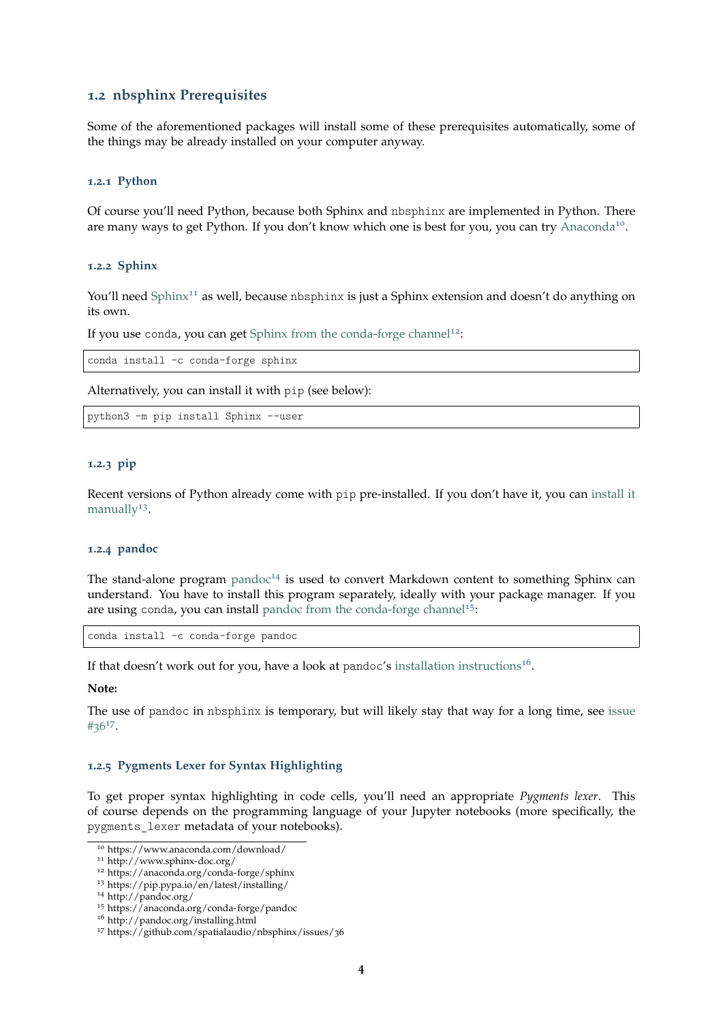#### <span id="page-3-0"></span>**1.2 nbsphinx Prerequisites**

Some of the aforementioned packages will install some of these prerequisites automatically, some of the things may be already installed on your computer anyway.

#### <span id="page-3-1"></span>**1.2.1 Python**

Of course you'll need Python, because both Sphinx and nbsphinx are implemented in Python. There are many ways to get Python. If you don't know which one is best for you, you can try [Anaconda](https://www.anaconda.com/download/)<sup>[10](#page-3-6)</sup>.

#### <span id="page-3-2"></span>**1.2.2 Sphinx**

You'll need [Sphinx](http://www.sphinx-doc.org/)<sup>[11](#page-3-7)</sup> as well, because nbsphinx is just a Sphinx extension and doesn't do anything on its own.

If you use conda, you can get [Sphinx from the conda-forge channel](https://anaconda.org/conda-forge/sphinx)<sup>[12](#page-3-8)</sup>:

conda install -c conda-forge sphinx

Alternatively, you can install it with pip (see below):

python3 -m pip install Sphinx --user

#### <span id="page-3-3"></span>**1.2.3 pip**

Recent versions of Python already come with pip pre-installed. If you don't have it, you can [install it](https://pip.pypa.io/en/latest/installing/) [manually](https://pip.pypa.io/en/latest/installing/)<sup>[13](#page-3-9)</sup>.

#### <span id="page-3-4"></span>**1.2.4 pandoc**

The stand-alone program  $p$  and  $q$ <sup>-[14](#page-3-10)</sup> is used to convert Markdown content to something Sphinx can understand. You have to install this program separately, ideally with your package manager. If you are using conda, you can install [pandoc from the conda-forge channel](https://anaconda.org/conda-forge/pandoc)<sup>[15](#page-3-11)</sup>:

conda install -c conda-forge pandoc

If that doesn't work out for you, have a look at pandoc's [installation instructions](http://pandoc.org/installing.html)<sup>[16](#page-3-12)</sup>.

#### **Note:**

The use of pandoc in nbsphinx is temporary, but will likely stay that way for a long time, see [issue](https://github.com/spatialaudio/nbsphinx/issues/36) #[36](https://github.com/spatialaudio/nbsphinx/issues/36)[17](#page-3-13) .

#### <span id="page-3-5"></span>**1.2.5 Pygments Lexer for Syntax Highlighting**

To get proper syntax highlighting in code cells, you'll need an appropriate *Pygments lexer*. This of course depends on the programming language of your Jupyter notebooks (more specifically, the pygments\_lexer metadata of your notebooks).

<span id="page-3-6"></span><sup>10</sup> https://www.anaconda.com/download/

<span id="page-3-7"></span><sup>11</sup> http://www.sphinx-doc.org/

<span id="page-3-8"></span><sup>12</sup> https://anaconda.org/conda-forge/sphinx

<span id="page-3-9"></span><sup>13</sup> https://pip.pypa.io/en/latest/installing/

<span id="page-3-10"></span><sup>14</sup> http://pandoc.org/

<span id="page-3-11"></span><sup>15</sup> https://anaconda.org/conda-forge/pandoc

<span id="page-3-12"></span><sup>16</sup> http://pandoc.org/installing.html

<span id="page-3-13"></span><sup>17</sup> https://github.com/spatialaudio/nbsphinx/issues/36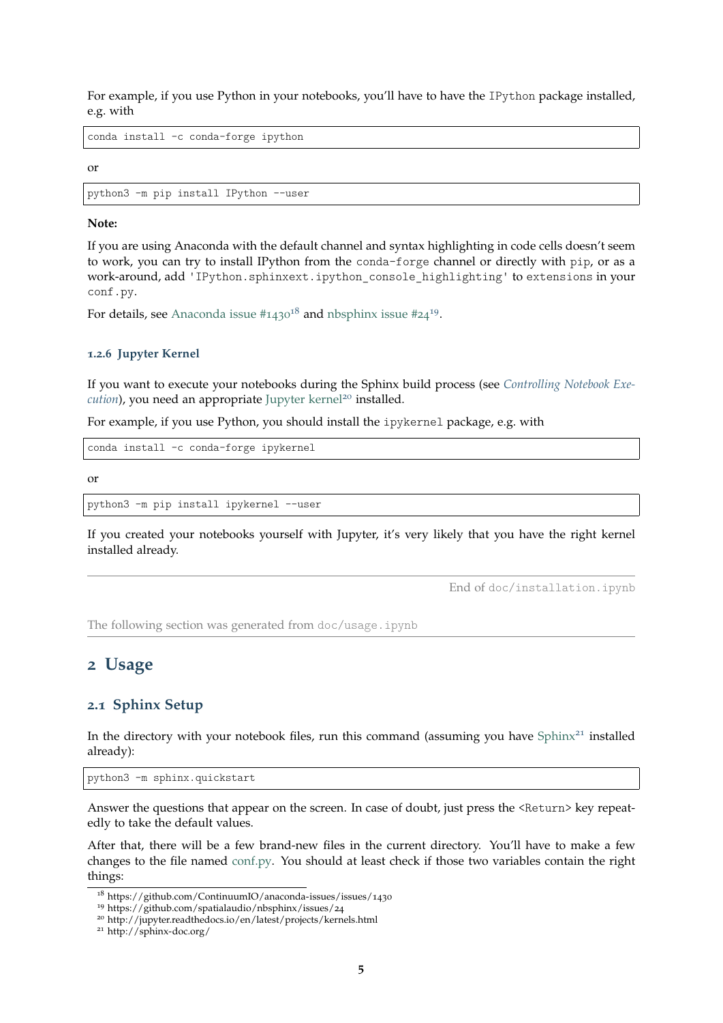For example, if you use Python in your notebooks, you'll have to have the IPython package installed, e.g. with

conda install -c conda-forge ipython

or

python3 -m pip install IPython --user

#### **Note:**

If you are using Anaconda with the default channel and syntax highlighting in code cells doesn't seem to work, you can try to install IPython from the conda-forge channel or directly with pip, or as a work-around, add 'IPython.sphinxext.ipython\_console\_highlighting' to extensions in your conf.py.

For details, see Anaconda issue  $\#1430^{18}$  $\#1430^{18}$  $\#1430^{18}$  and nbsphinx issue  $\#24^{19}$  $\#24^{19}$  $\#24^{19}$ .

#### <span id="page-4-0"></span>**1.2.6 Jupyter Kernel**

If you want to execute your notebooks during the Sphinx build process (see *[Controlling Notebook Exe](#page-24-0)[cution](#page-24-0)*), you need an appropriate [Jupyter kernel](http://jupyter.readthedocs.io/en/latest/projects/kernels.html)<sup>[20](#page-4-5)</sup> installed.

For example, if you use Python, you should install the ipykernel package, e.g. with

conda install -c conda-forge ipykernel

or

```
python3 -m pip install ipykernel --user
```
If you created your notebooks yourself with Jupyter, it's very likely that you have the right kernel installed already.

End of doc/installation.ipynb

The following section was generated from doc/usage.ipynb

### <span id="page-4-1"></span>**2 Usage**

#### <span id="page-4-2"></span>**2.1 Sphinx Setup**

In the directory with your notebook files, run this command (assuming you have Sphin $x^{21}$  $x^{21}$  $x^{21}$  installed already):

python3 -m sphinx.quickstart

Answer the questions that appear on the screen. In case of doubt, just press the <Return> key repeatedly to take the default values.

After that, there will be a few brand-new files in the current directory. You'll have to make a few changes to the file named [conf.py.](conf.py) You should at least check if those two variables contain the right things:

<span id="page-4-3"></span><sup>18</sup> https://github.com/ContinuumIO/anaconda-issues/issues/1430

<span id="page-4-4"></span><sup>19</sup> https://github.com/spatialaudio/nbsphinx/issues/24

<span id="page-4-5"></span><sup>20</sup> http://jupyter.readthedocs.io/en/latest/projects/kernels.html

<span id="page-4-6"></span><sup>21</sup> http://sphinx-doc.org/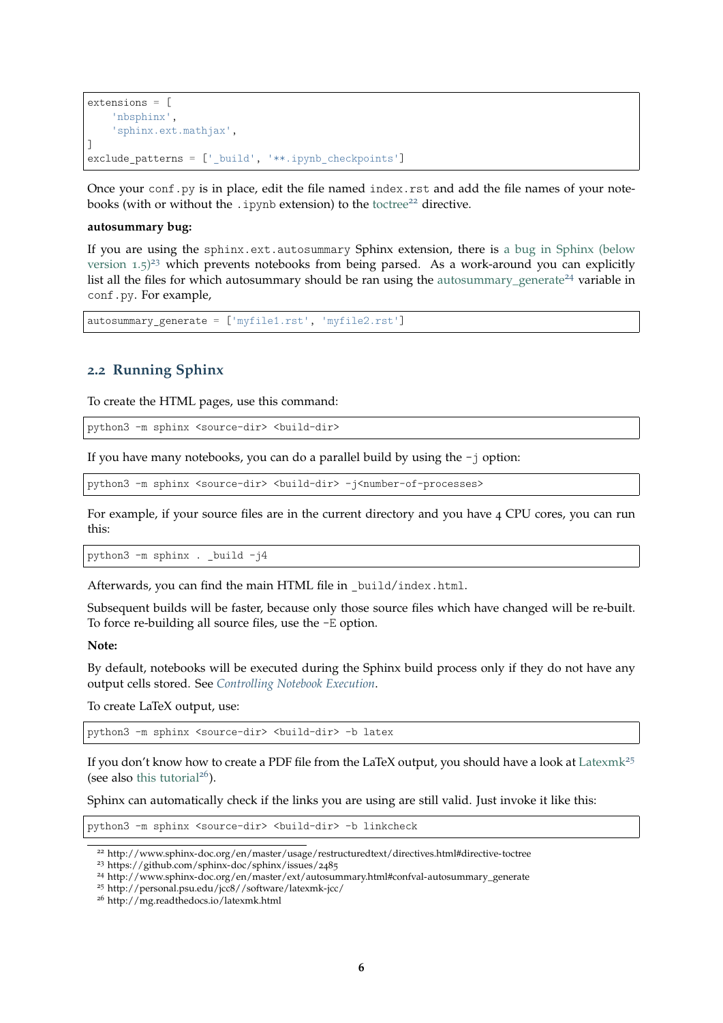```
extensions = \lceil'nbsphinx',
    'sphinx.ext.mathjax',
]
exclude patterns = [' build', '**.ipynb checkpoints']
```
Once your conf.py is in place, edit the file named index.rst and add the file names of your notebooks (with or without the .ipynb extension) to the [toctree](http://www.sphinx-doc.org/en/master/usage/restructuredtext/directives.html#directive-toctree)<sup>[22](#page-5-1)</sup> directive.

#### **autosummary bug:**

If you are using the sphinx.ext.autosummary Sphinx extension, there is [a bug in Sphinx \(below](https://github.com/sphinx-doc/sphinx/issues/2485) [version](https://github.com/sphinx-doc/sphinx/issues/2485)  $1.5$ <sup>[23](#page-5-2)</sup> which prevents notebooks from being parsed. As a work-around you can explicitly list all the files for which autosummary should be ran using the [autosummary\\_generate](http://www.sphinx-doc.org/en/master/ext/autosummary.html#confval-autosummary_generate)<sup>[24](#page-5-3)</sup> variable in conf.py. For example,

autosummary\_generate = ['myfile1.rst', 'myfile2.rst']

#### <span id="page-5-0"></span>**2.2 Running Sphinx**

To create the HTML pages, use this command:

python3 -m sphinx <source-dir> <build-dir>

If you have many notebooks, you can do a parallel build by using the -j option:

python3 -m sphinx <source-dir> <br/> <br/>build-dir> -j<number-of-processes>

For example, if your source files are in the current directory and you have 4 CPU cores, you can run this:

python3 -m sphinx . \_build -j4

Afterwards, you can find the main HTML file in \_build/index.html.

Subsequent builds will be faster, because only those source files which have changed will be re-built. To force re-building all source files, use the -E option.

**Note:**

By default, notebooks will be executed during the Sphinx build process only if they do not have any output cells stored. See *[Controlling Notebook Execution](#page-24-0)*.

To create LaTeX output, use:

python3 -m sphinx <source-dir> <build-dir> -b latex

If you don't know how to create a PDF file from the LaTeX output, you should have a look at [Latexmk](http://personal.psu.edu/jcc8//software/latexmk-jcc/)<sup>[25](#page-5-4)</sup> (see also [this tutorial](http://mg.readthedocs.io/latexmk.html)<sup>[26](#page-5-5)</sup>).

Sphinx can automatically check if the links you are using are still valid. Just invoke it like this:

python3 -m sphinx <source-dir> <br/> <br/> <br/>thuld-dir> -b linkcheck

<span id="page-5-2"></span><sup>23</sup> https://github.com/sphinx-doc/sphinx/issues/2485

<span id="page-5-1"></span><sup>22</sup> http://www.sphinx-doc.org/en/master/usage/restructuredtext/directives.html#directive-toctree

<span id="page-5-3"></span><sup>24</sup> http://www.sphinx-doc.org/en/master/ext/autosummary.html#confval-autosummary\_generate

<span id="page-5-4"></span><sup>25</sup> http://personal.psu.edu/jcc8//software/latexmk-jcc/

<span id="page-5-5"></span><sup>26</sup> http://mg.readthedocs.io/latexmk.html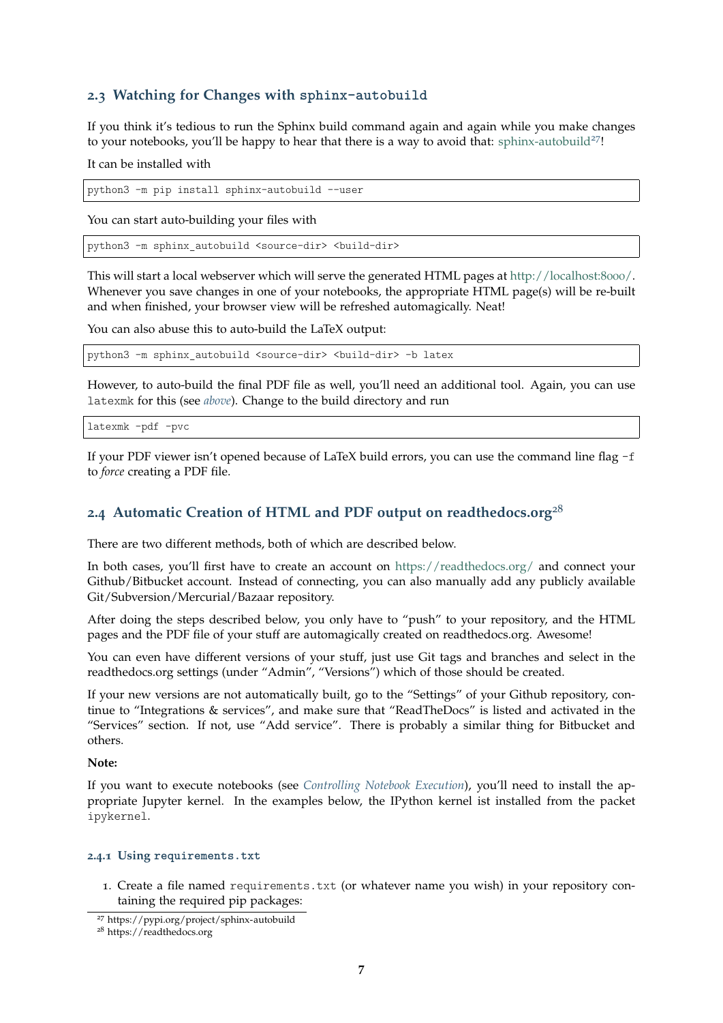### <span id="page-6-0"></span>**2.3 Watching for Changes with sphinx-autobuild**

If you think it's tedious to run the Sphinx build command again and again while you make changes to your notebooks, you'll be happy to hear that there is a way to avoid that: [sphinx-autobuild](https://pypi.org/project/sphinx-autobuild)<sup>[27](#page-6-3)!</sup>

It can be installed with

python3 -m pip install sphinx-autobuild --user

You can start auto-building your files with

python3 -m sphinx\_autobuild <source-dir> <build-dir>

This will start a local webserver which will serve the generated HTML pages at [http://localhost:](http://localhost:8000/)8000/. Whenever you save changes in one of your notebooks, the appropriate HTML page(s) will be re-built and when finished, your browser view will be refreshed automagically. Neat!

You can also abuse this to auto-build the LaTeX output:

python3 -m sphinx autobuild <source-dir> <br/> <br/> <br/> <br/> <br/> <br/> <br/> <br/> <br/> <br/>
python3 -m sphinx autobuild <source-dir> <br/><br/>
<br/>
<br/>
<br/>
<br/>
<br/>
<br/>
<br/>
<br/>
<br/>
<br/>
<br/>
<br

However, to auto-build the final PDF file as well, you'll need an additional tool. Again, you can use latexmk for this (see *[above](#page-5-0)*). Change to the build directory and run

latexmk -pdf -pvc

If your PDF viewer isn't opened because of LaTeX build errors, you can use the command line flag -f to *force* creating a PDF file.

### <span id="page-6-1"></span>**2.4 Automatic Creation of HTML and PDF output on readthedocs.org**<sup>28</sup>

There are two different methods, both of which are described below.

In both cases, you'll first have to create an account on <https://readthedocs.org/> and connect your Github/Bitbucket account. Instead of connecting, you can also manually add any publicly available Git/Subversion/Mercurial/Bazaar repository.

After doing the steps described below, you only have to "push" to your repository, and the HTML pages and the PDF file of your stuff are automagically created on readthedocs.org. Awesome!

You can even have different versions of your stuff, just use Git tags and branches and select in the readthedocs.org settings (under "Admin", "Versions") which of those should be created.

If your new versions are not automatically built, go to the "Settings" of your Github repository, continue to "Integrations & services", and make sure that "ReadTheDocs" is listed and activated in the "Services" section. If not, use "Add service". There is probably a similar thing for Bitbucket and others.

**Note:**

If you want to execute notebooks (see *[Controlling Notebook Execution](#page-24-0)*), you'll need to install the appropriate Jupyter kernel. In the examples below, the IPython kernel ist installed from the packet ipykernel.

#### <span id="page-6-2"></span>**2.4.1 Using requirements.txt**

1. Create a file named requirements.txt (or whatever name you wish) in your repository containing the required pip packages:

<span id="page-6-3"></span><sup>27</sup> https://pypi.org/project/sphinx-autobuild

<sup>28</sup> https://readthedocs.org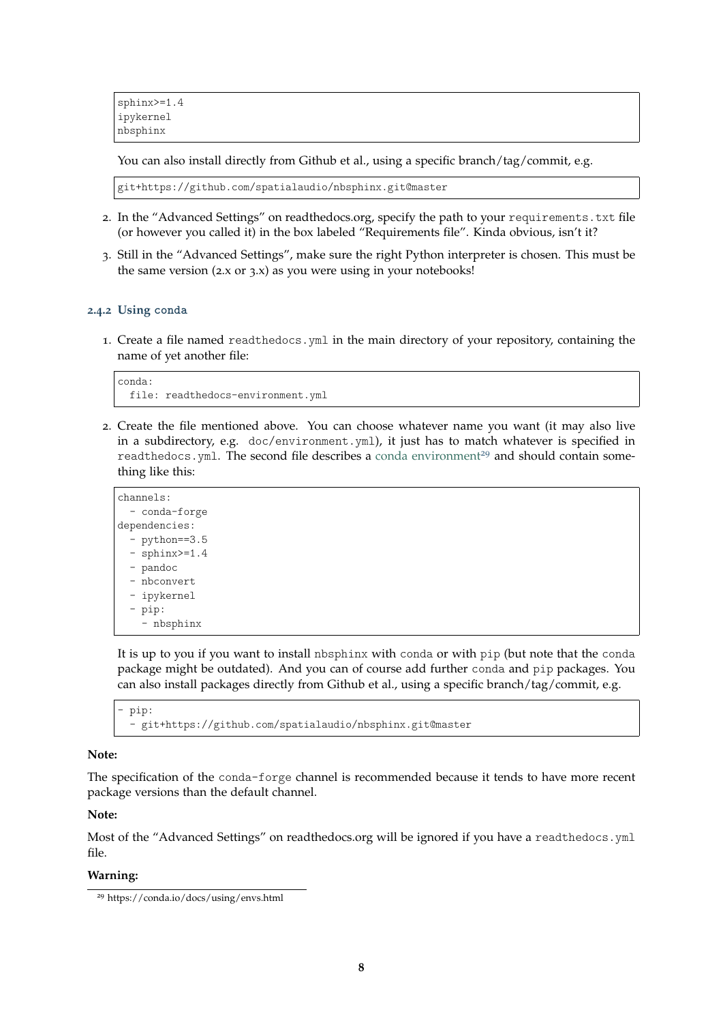You can also install directly from Github et al., using a specific branch/tag/commit, e.g.

git+https://github.com/spatialaudio/nbsphinx.git@master

- 2. In the "Advanced Settings" on readthedocs.org, specify the path to your requirements.txt file (or however you called it) in the box labeled "Requirements file". Kinda obvious, isn't it?
- 3. Still in the "Advanced Settings", make sure the right Python interpreter is chosen. This must be the same version  $(2.x \text{ or } 3.x)$  as you were using in your notebooks!

#### <span id="page-7-0"></span>**2.4.2 Using conda**

1. Create a file named readthedocs.yml in the main directory of your repository, containing the name of yet another file:

```
conda:
 file: readthedocs-environment.yml
```
2. Create the file mentioned above. You can choose whatever name you want (it may also live in a subdirectory, e.g. doc/environment.yml), it just has to match whatever is specified in readthedocs.yml. The second file describes a [conda environment](https://conda.io/docs/using/envs.html)<sup>[29](#page-7-1)</sup> and should contain something like this:

```
channels:
  - conda-forge
dependencies:
  - python==3.5
  - sphinx>=1.4- pandoc
  - nbconvert
  - ipykernel
  - pip:
    - nbsphinx
```
It is up to you if you want to install nbsphinx with conda or with pip (but note that the conda package might be outdated). And you can of course add further conda and pip packages. You can also install packages directly from Github et al., using a specific branch/tag/commit, e.g.

```
pip:
- git+https://github.com/spatialaudio/nbsphinx.git@master
```
#### **Note:**

The specification of the conda-forge channel is recommended because it tends to have more recent package versions than the default channel.

#### **Note:**

Most of the "Advanced Settings" on readthedocs.org will be ignored if you have a readthedocs.yml file.

#### **Warning:**

<span id="page-7-1"></span><sup>29</sup> https://conda.io/docs/using/envs.html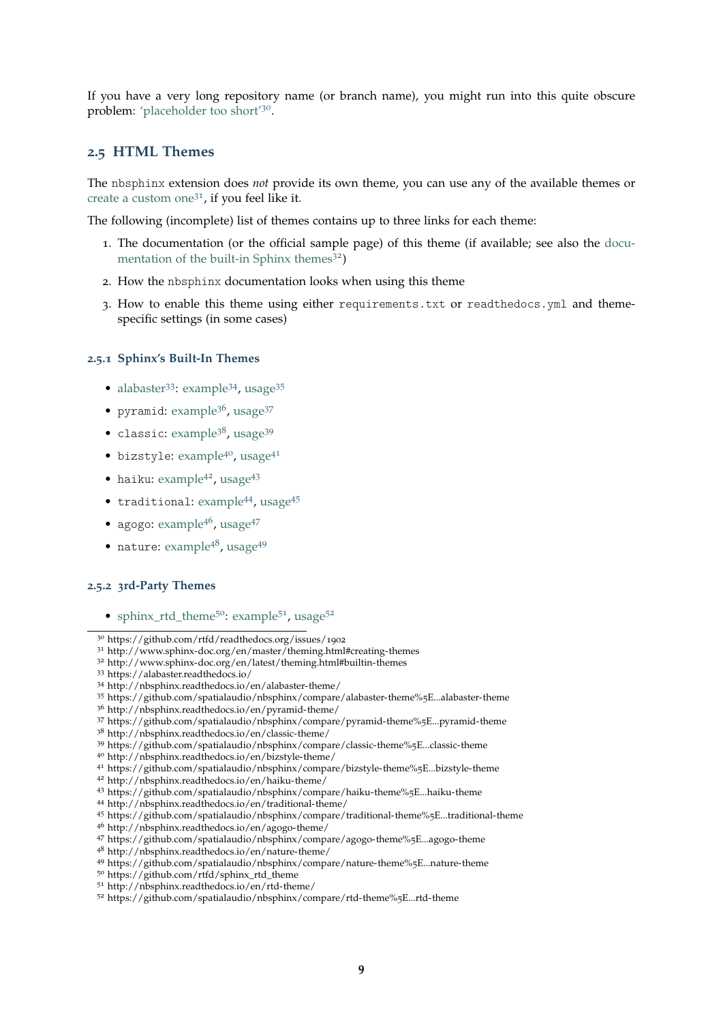If you have a very long repository name (or branch name), you might run into this quite obscure problem: ['placeholder too short'](https://github.com/rtfd/readthedocs.org/issues/1902)<sup>[30](#page-8-3)</sup>.

#### <span id="page-8-0"></span>**.5 HTML Themes**

The nbsphinx extension does *not* provide its own theme, you can use any of the available themes or [create a custom one](http://www.sphinx-doc.org/en/master/theming.html#creating-themes)<sup>[31](#page-8-4)</sup>, if you feel like it.

The following (incomplete) list of themes contains up to three links for each theme:

- . The documentation (or the official sample page) of this theme (if available; see also the [docu](http://www.sphinx-doc.org/en/latest/theming.html#builtin-themes)[mentation of the built-in Sphinx themes](http://www.sphinx-doc.org/en/latest/theming.html#builtin-themes))
- . How the nbsphinx documentation looks when using this theme
- . How to enable this theme using either requirements.txt or readthedocs.yml and themespecific settings (in some cases)

#### <span id="page-8-1"></span>**.5.1 Sphinx's Built-In Themes**

- [alabaster](https://alabaster.readthedocs.io/)<sup>[33](#page-8-6)</sup>: [example](http://nbsphinx.readthedocs.io/en/alabaster-theme/)<sup>[34](#page-8-7)</sup>, [usage](https://github.com/spatialaudio/nbsphinx/compare/alabaster-theme%5E...alabaster-theme)<sup>[35](#page-8-8)</sup>
- pyramid: [example](http://nbsphinx.readthedocs.io/en/pyramid-theme/)<sup>[36](#page-8-9)</sup>, [usage](https://github.com/spatialaudio/nbsphinx/compare/pyramid-theme%5E...pyramid-theme)<sup>[37](#page-8-10)</sup>
- classic: [example](http://nbsphinx.readthedocs.io/en/classic-theme/)<sup>[38](#page-8-11)</sup>, [usage](https://github.com/spatialaudio/nbsphinx/compare/classic-theme%5E...classic-theme)<sup>[39](#page-8-12)</sup>
- bizstyle: [example](http://nbsphinx.readthedocs.io/en/bizstyle-theme/)<sup>[40](#page-8-13)</sup>, [usage](https://github.com/spatialaudio/nbsphinx/compare/bizstyle-theme%5E...bizstyle-theme)<sup>[41](#page-8-14)</sup>
- $\bullet$  haiku: [example](http://nbsphinx.readthedocs.io/en/haiku-theme/)<sup>[42](#page-8-15)</sup>, [usage](https://github.com/spatialaudio/nbsphinx/compare/haiku-theme%5E...haiku-theme)<sup>[43](#page-8-16)</sup>
- traditional: [example](http://nbsphinx.readthedocs.io/en/traditional-theme/)<sup>[44](#page-8-17)</sup>, [usage](https://github.com/spatialaudio/nbsphinx/compare/traditional-theme%5E...traditional-theme)<sup>[45](#page-8-18)</sup>
- agogo: [example](http://nbsphinx.readthedocs.io/en/agogo-theme/)<sup>[46](#page-8-19)</sup>, [usage](https://github.com/spatialaudio/nbsphinx/compare/agogo-theme%5E...agogo-theme)<sup>[47](#page-8-20)</sup>
- nature: [example](http://nbsphinx.readthedocs.io/en/nature-theme/)<sup>[48](#page-8-21)</sup>, [usage](https://github.com/spatialaudio/nbsphinx/compare/nature-theme%5E...nature-theme)<sup>[49](#page-8-22)</sup>

#### <span id="page-8-2"></span>**.5.2 3rd-Party Themes**

• [sphinx\\_rtd\\_theme](https://github.com/rtfd/sphinx_rtd_theme)<sup>[50](#page-8-23)</sup>: [example](http://nbsphinx.readthedocs.io/en/rtd-theme/)<sup>[51](#page-8-24)</sup>, [usage](https://github.com/spatialaudio/nbsphinx/compare/rtd-theme%5E...rtd-theme)<sup>[52](#page-8-25)</sup>

<span id="page-8-4"></span>http://www.sphinx-doc.org/en/master/theming.html#creating-themes

<span id="page-8-8"></span>https://github.com/spatialaudio/nbsphinx/compare/alabaster-theme%5E...alabaster-theme

<span id="page-8-10"></span>https://github.com/spatialaudio/nbsphinx/compare/pyramid-theme%5E...pyramid-theme

<span id="page-8-12"></span>https://github.com/spatialaudio/nbsphinx/compare/classic-theme%5E...classic-theme

- <span id="page-8-14"></span>https://github.com/spatialaudio/nbsphinx/compare/bizstyle-theme%5E...bizstyle-theme
- <span id="page-8-15"></span>http://nbsphinx.readthedocs.io/en/haiku-theme/
- <span id="page-8-16"></span>https://github.com/spatialaudio/nbsphinx/compare/haiku-theme%5E...haiku-theme
- <span id="page-8-17"></span>http://nbsphinx.readthedocs.io/en/traditional-theme/
- <span id="page-8-18"></span>https://github.com/spatialaudio/nbsphinx/compare/traditional-theme%5E...traditional-theme
- <span id="page-8-19"></span>http://nbsphinx.readthedocs.io/en/agogo-theme/
- <span id="page-8-20"></span>https://github.com/spatialaudio/nbsphinx/compare/agogo-theme%5E...agogo-theme
- <span id="page-8-21"></span>http://nbsphinx.readthedocs.io/en/nature-theme/

- <span id="page-8-23"></span>https://github.com/rtfd/sphinx\_rtd\_theme
- <span id="page-8-24"></span>http://nbsphinx.readthedocs.io/en/rtd-theme/

<span id="page-8-3"></span>https://github.com/rtfd/readthedocs.org/issues/1902

<span id="page-8-5"></span>http://www.sphinx-doc.org/en/latest/theming.html#builtin-themes

<span id="page-8-6"></span>https://alabaster.readthedocs.io/

<span id="page-8-7"></span>http://nbsphinx.readthedocs.io/en/alabaster-theme/

<span id="page-8-9"></span>http://nbsphinx.readthedocs.io/en/pyramid-theme/

<span id="page-8-11"></span>http://nbsphinx.readthedocs.io/en/classic-theme/

<span id="page-8-13"></span>http://nbsphinx.readthedocs.io/en/bizstyle-theme/

<span id="page-8-22"></span>https://github.com/spatialaudio/nbsphinx/compare/nature-theme%5E...nature-theme

<span id="page-8-25"></span>https://github.com/spatialaudio/nbsphinx/compare/rtd-theme%5E...rtd-theme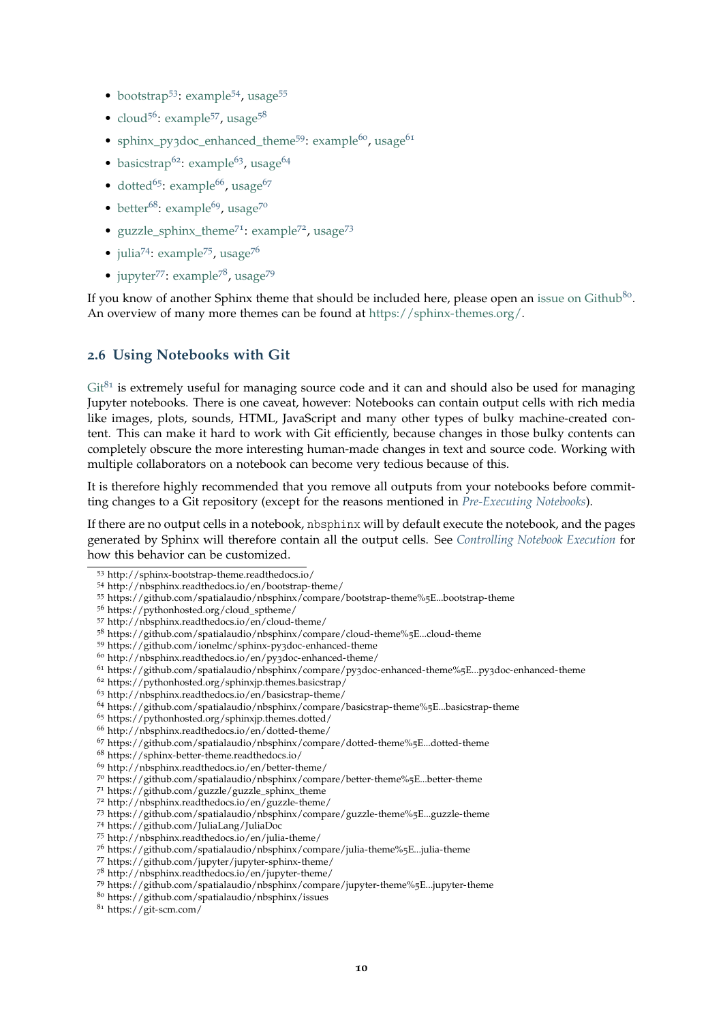- [bootstrap](http://sphinx-bootstrap-theme.readthedocs.io/)<sup>[53](#page-9-1)</sup>: [example](http://nbsphinx.readthedocs.io/en/bootstrap-theme/)<sup>[54](#page-9-2)</sup>, [usage](https://github.com/spatialaudio/nbsphinx/compare/bootstrap-theme%5E...bootstrap-theme)<sup>[55](#page-9-3)</sup>
- [cloud](https://pythonhosted.org/cloud_sptheme/)<sup>[56](#page-9-4)</sup>: [example](http://nbsphinx.readthedocs.io/en/cloud-theme/)<sup>[57](#page-9-5)</sup>, [usage](https://github.com/spatialaudio/nbsphinx/compare/cloud-theme%5E...cloud-theme)<sup>[58](#page-9-6)</sup>
- sphinx\_py3[doc\\_enhanced\\_theme](https://github.com/ionelmc/sphinx-py3doc-enhanced-theme)<sup>[59](#page-9-7)</sup>: [example](http://nbsphinx.readthedocs.io/en/py3doc-enhanced-theme/)<sup>[60](#page-9-8)</sup>, [usage](https://github.com/spatialaudio/nbsphinx/compare/py3doc-enhanced-theme%5E...py3doc-enhanced-theme)<sup>[61](#page-9-9)</sup>
- [basicstrap](https://pythonhosted.org/sphinxjp.themes.basicstrap/)<sup>[62](#page-9-10)</sup>: [example](http://nbsphinx.readthedocs.io/en/basicstrap-theme/)<sup>[63](#page-9-11)</sup>, [usage](https://github.com/spatialaudio/nbsphinx/compare/basicstrap-theme%5E...basicstrap-theme)<sup>[64](#page-9-12)</sup>
- [dotted](https://pythonhosted.org/sphinxjp.themes.dotted/)<sup>[65](#page-9-13)</sup>: [example](http://nbsphinx.readthedocs.io/en/dotted-theme/)<sup>[66](#page-9-14)</sup>, [usage](https://github.com/spatialaudio/nbsphinx/compare/dotted-theme%5E...dotted-theme)<sup>[67](#page-9-15)</sup>
- [better](https://sphinx-better-theme.readthedocs.io/) $^{68}$  $^{68}$  $^{68}$ : [example](http://nbsphinx.readthedocs.io/en/better-theme/) $^{69}$  $^{69}$  $^{69}$ , [usage](https://github.com/spatialaudio/nbsphinx/compare/better-theme%5E...better-theme)<sup>[70](#page-9-18)</sup>
- [guzzle\\_sphinx\\_theme](https://github.com/guzzle/guzzle_sphinx_theme)<sup>[71](#page-9-19)</sup>: [example](http://nbsphinx.readthedocs.io/en/guzzle-theme/)<sup>[72](#page-9-20)</sup>, [usage](https://github.com/spatialaudio/nbsphinx/compare/guzzle-theme%5E...guzzle-theme)<sup>[73](#page-9-21)</sup>
- $\bullet$  [julia](https://github.com/JuliaLang/JuliaDoc)<sup>[74](#page-9-22)</sup>: [example](http://nbsphinx.readthedocs.io/en/julia-theme/)<sup>[75](#page-9-23)</sup>, [usage](https://github.com/spatialaudio/nbsphinx/compare/julia-theme%5E...julia-theme)<sup>[76](#page-9-24)</sup>
- $\bullet$  [jupyter](https://github.com/jupyter/jupyter-sphinx-theme/)<sup>[77](#page-9-25)</sup>: [example](http://nbsphinx.readthedocs.io/en/jupyter-theme/)<sup>[78](#page-9-26)</sup>, [usage](https://github.com/spatialaudio/nbsphinx/compare/jupyter-theme%5E...jupyter-theme)<sup>[79](#page-9-27)</sup>

If you know of another Sphinx theme that should be included here, please open an [issue on Github](https://github.com/spatialaudio/nbsphinx/issues)<sup>[80](#page-9-28)</sup>. An overview of many more themes can be found at [https://sphinx-themes.org/.](https://sphinx-themes.org/)

### <span id="page-9-0"></span>**2.6 Using Notebooks with Git**

 $Git^{81}$  $Git^{81}$  $Git^{81}$  $Git^{81}$  is extremely useful for managing source code and it can and should also be used for managing Jupyter notebooks. There is one caveat, however: Notebooks can contain output cells with rich media like images, plots, sounds, HTML, JavaScript and many other types of bulky machine-created content. This can make it hard to work with Git efficiently, because changes in those bulky contents can completely obscure the more interesting human-made changes in text and source code. Working with multiple collaborators on a notebook can become very tedious because of this.

It is therefore highly recommended that you remove all outputs from your notebooks before committing changes to a Git repository (except for the reasons mentioned in *[Pre-Executing Notebooks](#page-24-1)*).

If there are no output cells in a notebook, nbsphinx will by default execute the notebook, and the pages generated by Sphinx will therefore contain all the output cells. See *[Controlling Notebook Execution](#page-24-0)* for how this behavior can be customized.

- <span id="page-9-3"></span><sup>55</sup> https://github.com/spatialaudio/nbsphinx/compare/bootstrap-theme%5E...bootstrap-theme
- <span id="page-9-4"></span><sup>56</sup> https://pythonhosted.org/cloud\_sptheme/
- <span id="page-9-5"></span><sup>57</sup> http://nbsphinx.readthedocs.io/en/cloud-theme/
- <span id="page-9-6"></span><sup>58</sup> https://github.com/spatialaudio/nbsphinx/compare/cloud-theme%5E...cloud-theme
- <span id="page-9-7"></span><sup>59</sup> https://github.com/ionelmc/sphinx-py3doc-enhanced-theme
- <span id="page-9-8"></span><sup>60</sup> http://nbsphinx.readthedocs.io/en/py3doc-enhanced-theme/

- <span id="page-9-10"></span><sup>62</sup> https://pythonhosted.org/sphinxjp.themes.basicstrap/
- <span id="page-9-11"></span><sup>63</sup> http://nbsphinx.readthedocs.io/en/basicstrap-theme/

<span id="page-9-24"></span><sup>76</sup> https://github.com/spatialaudio/nbsphinx/compare/julia-theme%5E...julia-theme

<span id="page-9-29"></span><sup>81</sup> https://git-scm.com/

<span id="page-9-1"></span><sup>53</sup> http://sphinx-bootstrap-theme.readthedocs.io/

<span id="page-9-2"></span><sup>54</sup> http://nbsphinx.readthedocs.io/en/bootstrap-theme/

<span id="page-9-9"></span><sup>61</sup> https://github.com/spatialaudio/nbsphinx/compare/py3doc-enhanced-theme%5E...py3doc-enhanced-theme

<span id="page-9-12"></span><sup>64</sup> https://github.com/spatialaudio/nbsphinx/compare/basicstrap-theme%5E...basicstrap-theme

<span id="page-9-13"></span><sup>65</sup> https://pythonhosted.org/sphinxjp.themes.dotted/

<span id="page-9-14"></span><sup>66</sup> http://nbsphinx.readthedocs.io/en/dotted-theme/

<span id="page-9-15"></span> $67$  https://github.com/spatialaudio/nbsphinx/compare/dotted-theme%5E...dotted-theme

<span id="page-9-16"></span><sup>68</sup> https://sphinx-better-theme.readthedocs.io/

<span id="page-9-17"></span><sup>69</sup> http://nbsphinx.readthedocs.io/en/better-theme/

<span id="page-9-18"></span><sup>70</sup> https://github.com/spatialaudio/nbsphinx/compare/better-theme%5E...better-theme

<span id="page-9-19"></span><sup>71</sup> https://github.com/guzzle/guzzle\_sphinx\_theme

<span id="page-9-20"></span><sup>72</sup> http://nbsphinx.readthedocs.io/en/guzzle-theme/

<span id="page-9-21"></span><sup>73</sup> https://github.com/spatialaudio/nbsphinx/compare/guzzle-theme%5E...guzzle-theme

<span id="page-9-22"></span><sup>74</sup> https://github.com/JuliaLang/JuliaDoc

<span id="page-9-23"></span><sup>75</sup> http://nbsphinx.readthedocs.io/en/julia-theme/

<span id="page-9-25"></span><sup>77</sup> https://github.com/jupyter/jupyter-sphinx-theme/

<span id="page-9-26"></span><sup>78</sup> http://nbsphinx.readthedocs.io/en/jupyter-theme/

<span id="page-9-27"></span><sup>79</sup> https://github.com/spatialaudio/nbsphinx/compare/jupyter-theme%5E...jupyter-theme

<span id="page-9-28"></span><sup>80</sup> https://github.com/spatialaudio/nbsphinx/issues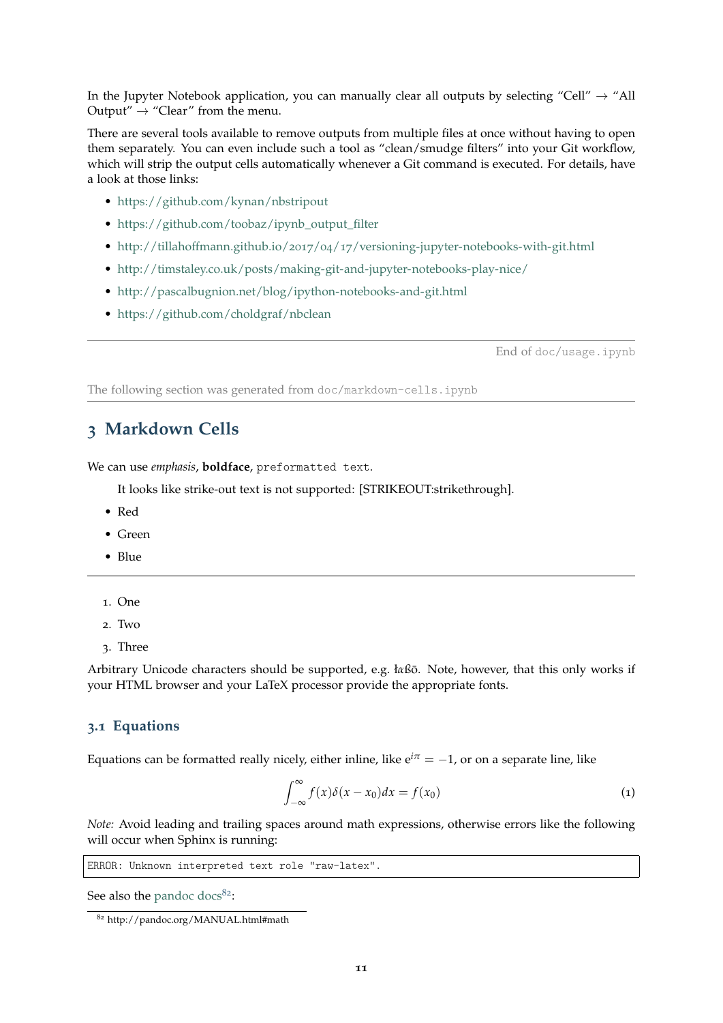In the Jupyter Notebook application, you can manually clear all outputs by selecting "Cell"  $\rightarrow$  "All Output"  $\rightarrow$  "Clear" from the menu.

There are several tools available to remove outputs from multiple files at once without having to open them separately. You can even include such a tool as "clean/smudge filters" into your Git workflow, which will strip the output cells automatically whenever a Git command is executed. For details, have a look at those links:

- <https://github.com/kynan/nbstripout>
- [https://github.com/toobaz/ipynb\\_output\\_filter](https://github.com/toobaz/ipynb_output_filter)
- http://tillahoffmann.github.io/2017/04/17[/versioning-jupyter-notebooks-with-git.html](http://tillahoffmann.github.io/2017/04/17/versioning-jupyter-notebooks-with-git.html)
- <http://timstaley.co.uk/posts/making-git-and-jupyter-notebooks-play-nice/>
- <http://pascalbugnion.net/blog/ipython-notebooks-and-git.html>
- <https://github.com/choldgraf/nbclean>

End of doc/usage.ipynb

The following section was generated from doc/markdown-cells.ipynb

### <span id="page-10-0"></span>**3 Markdown Cells**

We can use *emphasis*, **boldface**, preformatted text.

It looks like strike-out text is not supported: [STRIKEOUT:strikethrough].

- Red
- Green
- Blue
- 1. One
- 2. Two
- 3. Three

Arbitrary Unicode characters should be supported, e.g. *łαßō*. Note, however, that this only works if your HTML browser and your LaTeX processor provide the appropriate fonts.

#### <span id="page-10-1"></span>**3.1 Equations**

Equations can be formatted really nicely, either inline, like  $e^{i\pi} = -1$ , or on a separate line, like

$$
\int_{-\infty}^{\infty} f(x)\delta(x - x_0)dx = f(x_0)
$$
 (1)

*Note:* Avoid leading and trailing spaces around math expressions, otherwise errors like the following will occur when Sphinx is running:

ERROR: Unknown interpreted text role "raw-latex".

See also the [pandoc docs](http://pandoc.org/MANUAL.html#math) $82$ :

<span id="page-10-2"></span><sup>82</sup> http://pandoc.org/MANUAL.html#math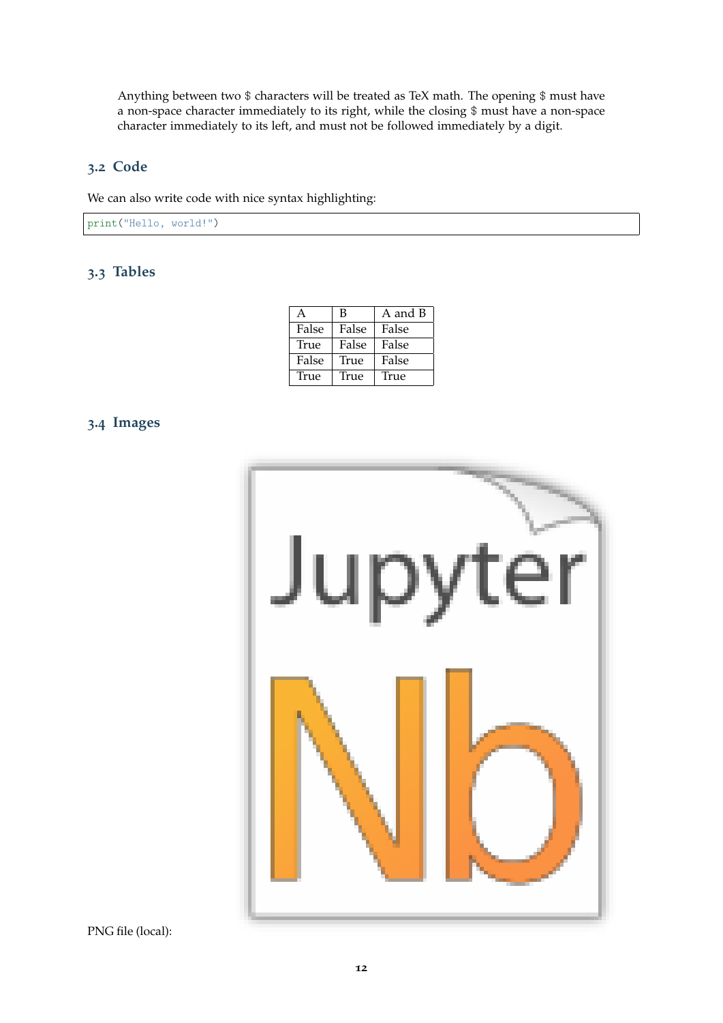Anything between two \$ characters will be treated as TeX math. The opening \$ must have a non-space character immediately to its right, while the closing \$ must have a non-space character immediately to its left, and must not be followed immediately by a digit.

### <span id="page-11-0"></span>**3.2 Code**

We can also write code with nice syntax highlighting:

print("Hello, world!")

### <span id="page-11-1"></span>**3.3 Tables**

|       | В     | A and B |
|-------|-------|---------|
| False | False | False   |
| True  | False | False   |
| False | True  | False   |
| True  | True  | True    |

### <span id="page-11-2"></span>**3.4 Images**



PNG file (local):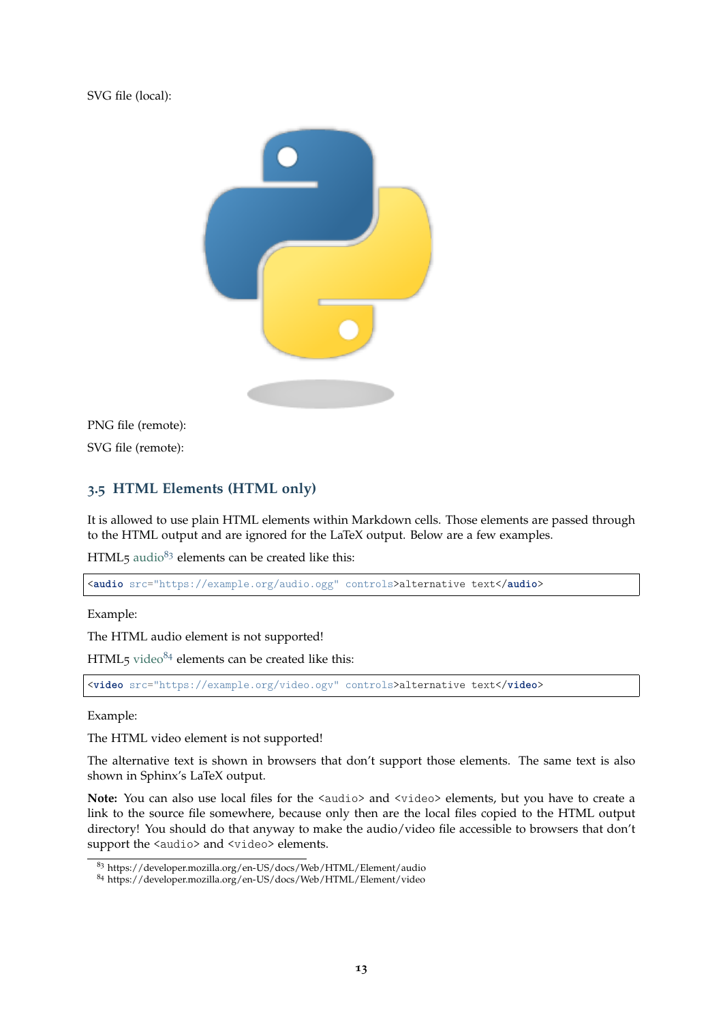SVG file (local):



PNG file (remote): SVG file (remote):

### <span id="page-12-0"></span>**3.5 HTML Elements (HTML only)**

It is allowed to use plain HTML elements within Markdown cells. Those elements are passed through to the HTML output and are ignored for the LaTeX output. Below are a few examples.

 $HTML<sub>5</sub>$  [audio](https://developer.mozilla.org/en-US/docs/Web/HTML/Element/audio)<sup>[83](#page-12-1)</sup> elements can be created like this:

<**audio** src="https://example.org/audio.ogg" controls>alternative text</**audio**>

Example:

The HTML audio element is not supported!

 $HTML_5$  [video](https://developer.mozilla.org/en-US/docs/Web/HTML/Element/video) $^{84}$  $^{84}$  $^{84}$  elements can be created like this:

<**video** src="https://example.org/video.ogv" controls>alternative text</**video**>

Example:

The HTML video element is not supported!

The alternative text is shown in browsers that don't support those elements. The same text is also shown in Sphinx's LaTeX output.

Note: You can also use local files for the <audio> and <video> elements, but you have to create a link to the source file somewhere, because only then are the local files copied to the HTML output directory! You should do that anyway to make the audio/video file accessible to browsers that don't support the <audio> and <video> elements.

<span id="page-12-1"></span><sup>83</sup> https://developer.mozilla.org/en-US/docs/Web/HTML/Element/audio

<span id="page-12-2"></span><sup>84</sup> https://developer.mozilla.org/en-US/docs/Web/HTML/Element/video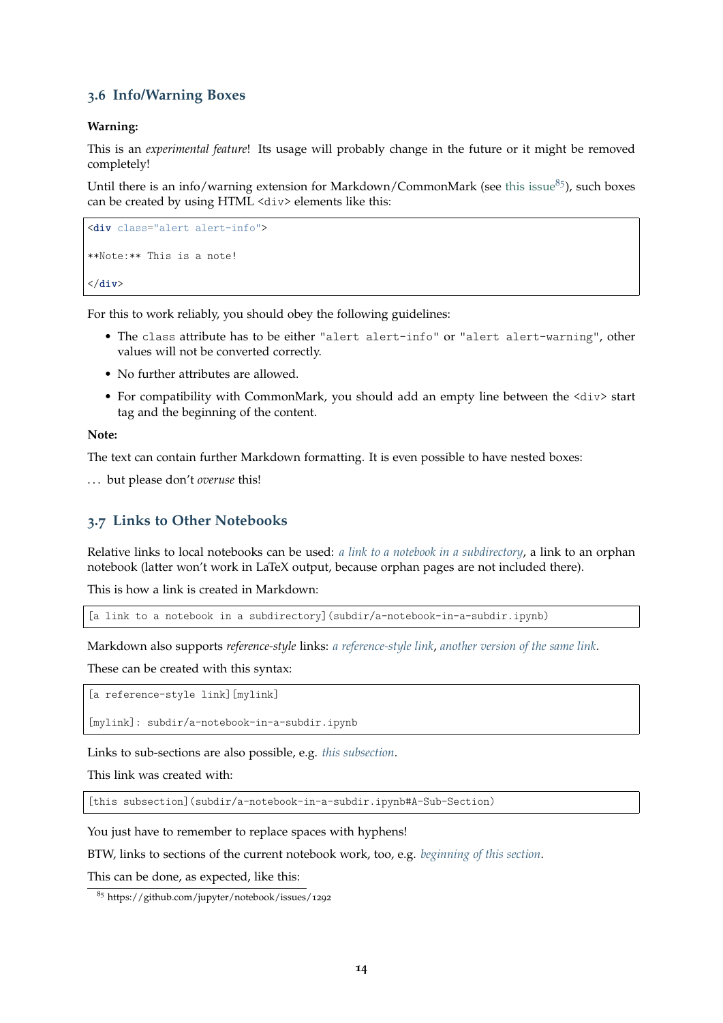### <span id="page-13-0"></span>**3.6 Info/Warning Boxes**

#### **Warning:**

This is an *experimental feature*! Its usage will probably change in the future or it might be removed completely!

Until there is an info/warning extension for Markdown/CommonMark (see [this issue](https://github.com/jupyter/notebook/issues/1292) $85$ ), such boxes can be created by using HTML <div> elements like this:

```
<div class="alert alert-info">
**Note:** This is a note!
</div>
```
For this to work reliably, you should obey the following guidelines:

- The class attribute has to be either "alert alert-info" or "alert alert-warning", other values will not be converted correctly.
- No further attributes are allowed.
- For compatibility with CommonMark, you should add an empty line between the <div> start tag and the beginning of the content.

#### **Note:**

The text can contain further Markdown formatting. It is even possible to have nested boxes:

. . . but please don't *overuse* this!

### <span id="page-13-1"></span>**3.7 Links to Other Notebooks**

Relative links to local notebooks can be used: *[a link to a notebook in a subdirectory](#page-29-0)*, a link to an orphan notebook (latter won't work in LaTeX output, because orphan pages are not included there).

This is how a link is created in Markdown:

[a link to a notebook in a subdirectory](subdir/a-notebook-in-a-subdir.ipynb)

Markdown also supports *reference-style* links: *[a reference-style link](#page-29-0)*, *[another version of the same link](#page-29-0)*.

These can be created with this syntax:

[a reference-style link][mylink]

[mylink]: subdir/a-notebook-in-a-subdir.ipynb

Links to sub-sections are also possible, e.g. *[this subsection](#page-30-0)*.

This link was created with:

[this subsection](subdir/a-notebook-in-a-subdir.ipynb#A-Sub-Section)

You just have to remember to replace spaces with hyphens!

BTW, links to sections of the current notebook work, too, e.g. *[beginning of this section](#page-13-1)*.

This can be done, as expected, like this:

```
85 https://github.com/jupyter/notebook/issues/1292
```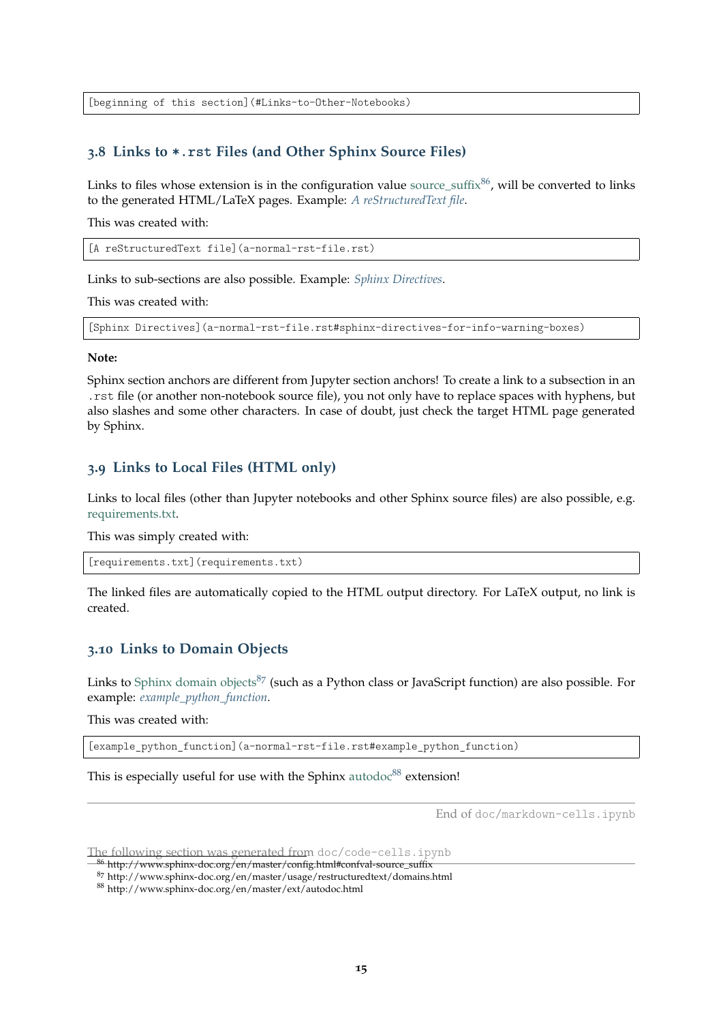[beginning of this section](#Links-to-Other-Notebooks)

### <span id="page-14-0"></span>**3.8 Links to \*.rst Files (and Other Sphinx Source Files)**

Links to files whose extension is in the configuration value source suffix  $86$ , will be converted to links to the generated HTML/LaTeX pages. Example: *[A reStructuredText file](#page-33-0)*.

This was created with:

[A reStructuredText file](a-normal-rst-file.rst)

Links to sub-sections are also possible. Example: *[Sphinx Directives](#page-34-0)*.

This was created with:

[Sphinx Directives](a-normal-rst-file.rst#sphinx-directives-for-info-warning-boxes)

#### **Note:**

Sphinx section anchors are different from Jupyter section anchors! To create a link to a subsection in an .rst file (or another non-notebook source file), you not only have to replace spaces with hyphens, but also slashes and some other characters. In case of doubt, just check the target HTML page generated by Sphinx.

#### <span id="page-14-1"></span>**3.9 Links to Local Files (HTML only)**

Links to local files (other than Jupyter notebooks and other Sphinx source files) are also possible, e.g. [requirements.txt.](requirements.txt)

This was simply created with:

[requirements.txt](requirements.txt)

The linked files are automatically copied to the HTML output directory. For LaTeX output, no link is created.

#### <span id="page-14-2"></span>**3.10 Links to Domain Objects**

Links to [Sphinx domain objects](http://www.sphinx-doc.org/en/master/usage/restructuredtext/domains.html) $87$  (such as a Python class or JavaScript function) are also possible. For example: *[example\\_python\\_function](#page-35-1)*.

This was created with:

[example\_python\_function](a-normal-rst-file.rst#example\_python\_function)

This is especially useful for use with the Sphinx [autodoc](http://www.sphinx-doc.org/en/master/ext/autodoc.html) $88$  extension!

End of doc/markdown-cells.ipynb

The following section was generated from doc/code-cells.ipynb

<span id="page-14-3"></span><sup>86</sup> http://www.sphinx-doc.org/en/master/config.html#confval-source\_suffix

<span id="page-14-4"></span><sup>87</sup> http://www.sphinx-doc.org/en/master/usage/restructuredtext/domains.html

<span id="page-14-5"></span><sup>88</sup> http://www.sphinx-doc.org/en/master/ext/autodoc.html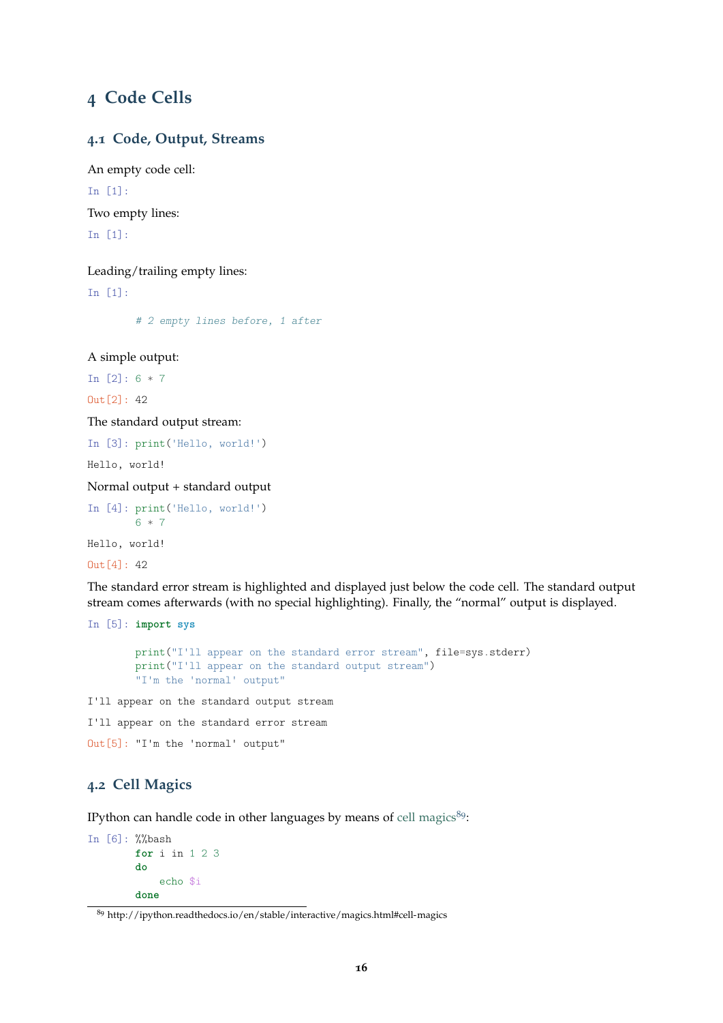# <span id="page-15-0"></span>**4 Code Cells**

### <span id="page-15-1"></span>**4.1 Code, Output, Streams**

An empty code cell: In [1]: Two empty lines: In [1]:

Leading/trailing empty lines: In [1]:

# 2 empty lines before, 1 after

A simple output:

In  $[2]$ : 6  $*$  7

 $Out[2]: 42$ 

The standard output stream:

In [3]: print('Hello, world!')

Hello, world!

Normal output + standard output

```
In [4]: print('Hello, world!')
       6 * 7
```
Hello, world!

 $Out[4]: 42$ 

The standard error stream is highlighted and displayed just below the code cell. The standard output stream comes afterwards (with no special highlighting). Finally, the "normal" output is displayed.

In [5]: **import sys**

```
print("I'll appear on the standard error stream", file=sys.stderr)
print("I'll appear on the standard output stream")
"I'm the 'normal' output"
```
I'll appear on the standard output stream

I'll appear on the standard error stream

Out[5]: "I'm the 'normal' output"

### <span id="page-15-2"></span>**4.2 Cell Magics**

IPython can handle code in other languages by means of [cell magics](http://ipython.readthedocs.io/en/stable/interactive/magics.html#cell-magics) $89$ :

```
In [6]: %%bash
        for i in 1 2 3
        do
            echo $i
        done
```
<span id="page-15-3"></span><sup>89</sup> http://ipython.readthedocs.io/en/stable/interactive/magics.html#cell-magics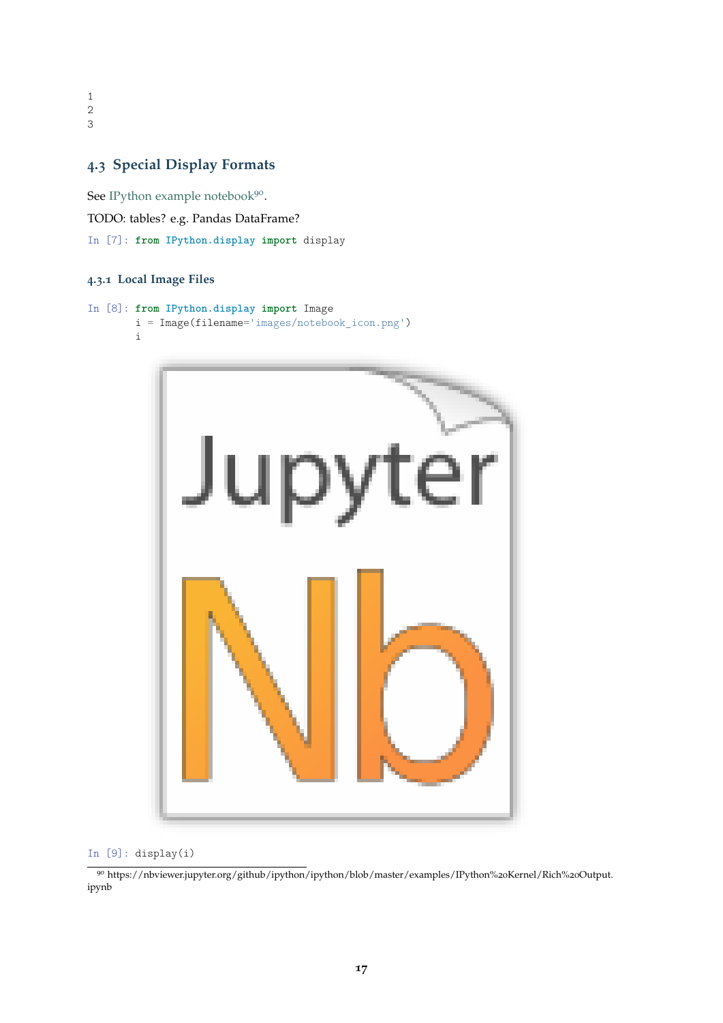1 2 3

### <span id="page-16-0"></span>**4.3 Special Display Formats**

See [IPython example notebook](https://nbviewer.jupyter.org/github/ipython/ipython/blob/master/examples/IPython%20Kernel/Rich%20Output.ipynb)<sup>[90](#page-16-2)</sup>.

TODO: tables? e.g. Pandas DataFrame?

In [7]: **from IPython.display import** display

### <span id="page-16-1"></span>**4.3.1 Local Image Files**

```
In [8]: from IPython.display import Image
        i = Image(filename='images/notebook_icon.png')
        i
```


#### In [9]: display(i)

<span id="page-16-2"></span><sup>90</sup> https://nbviewer.jupyter.org/github/ipython/ipython/blob/master/examples/IPython%20Kernel/Rich%20Output. ipynb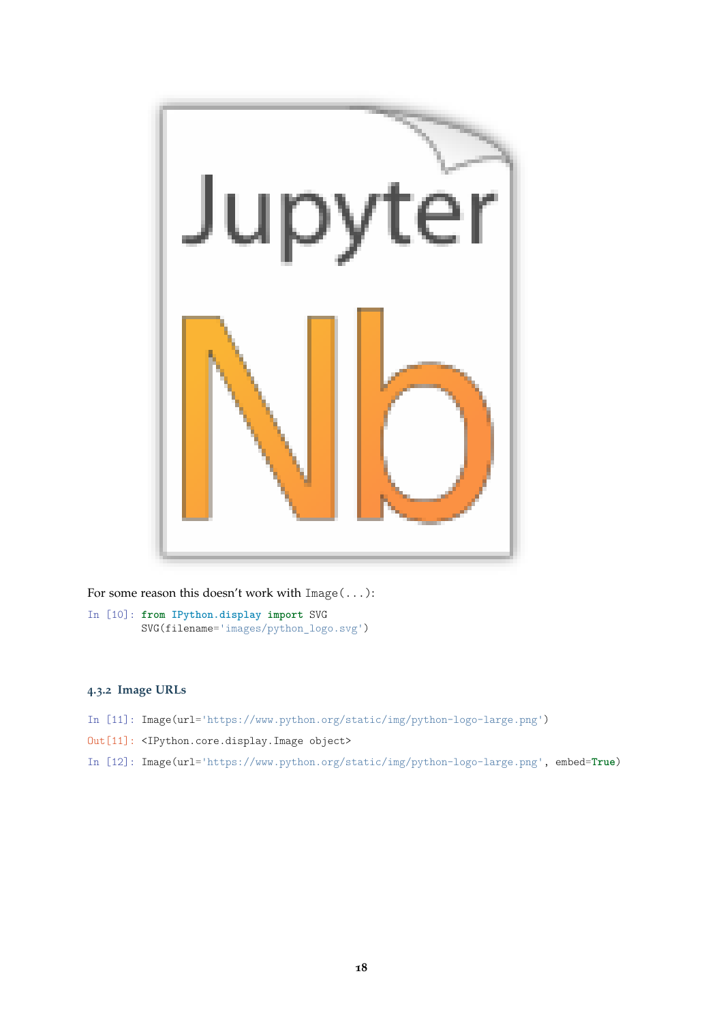

For some reason this doesn't work with  $Image(\ldots)$ :

In [10]: **from IPython.display import** SVG SVG(filename='images/python\_logo.svg')

### <span id="page-17-0"></span>**4.3.2 Image URLs**

- In [11]: Image(url='https://www.python.org/static/img/python-logo-large.png')
- Out[11]: <IPython.core.display.Image object>

In [12]: Image(url='https://www.python.org/static/img/python-logo-large.png', embed=**True**)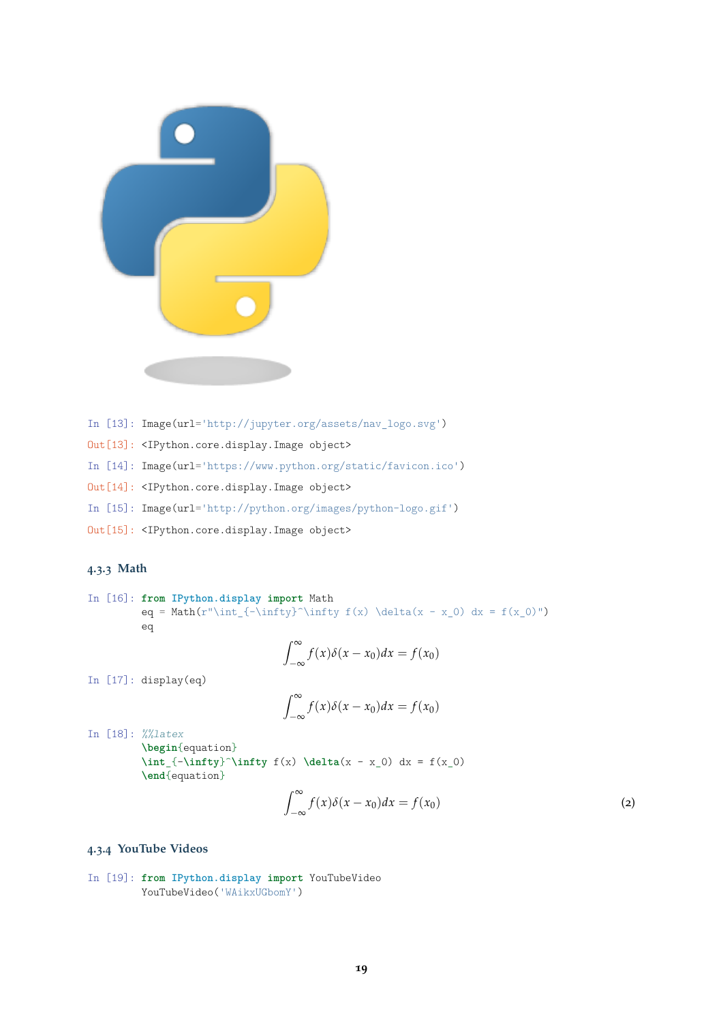

- In [13]: Image(url='http://jupyter.org/assets/nav\_logo.svg')
- Out[13]: <IPython.core.display.Image object>
- In [14]: Image(url='https://www.python.org/static/favicon.ico')
- Out[14]: <IPython.core.display.Image object>
- In [15]: Image(url='http://python.org/images/python-logo.gif')
- Out[15]: <IPython.core.display.Image object>

### <span id="page-18-0"></span>**4.3.3 Math**

In [16]: **from IPython.display import** Math eq =  $Math(r"\int_{-\infty}^{\infty} f(x) \delta(x - x_0) dx = f(x_0)$ eq

$$
\int_{-\infty}^{\infty} f(x)\delta(x - x_0) dx = f(x_0)
$$

In [17]: display(eq)

$$
\int_{-\infty}^{\infty} f(x)\delta(x - x_0) dx = f(x_0)
$$

In [18]: %%latex **\begin**{equation}  $\int_{-\infty}^{\infty} f(x) \delta(x - x_0) dx = f(x_0)$ **\end**{equation}

$$
\int_{-\infty}^{\infty} f(x)\delta(x - x_0)dx = f(x_0)
$$
 (2)

### <span id="page-18-1"></span>**4.3.4 YouTube Videos**

In [19]: **from IPython.display import** YouTubeVideo YouTubeVideo('WAikxUGbomY')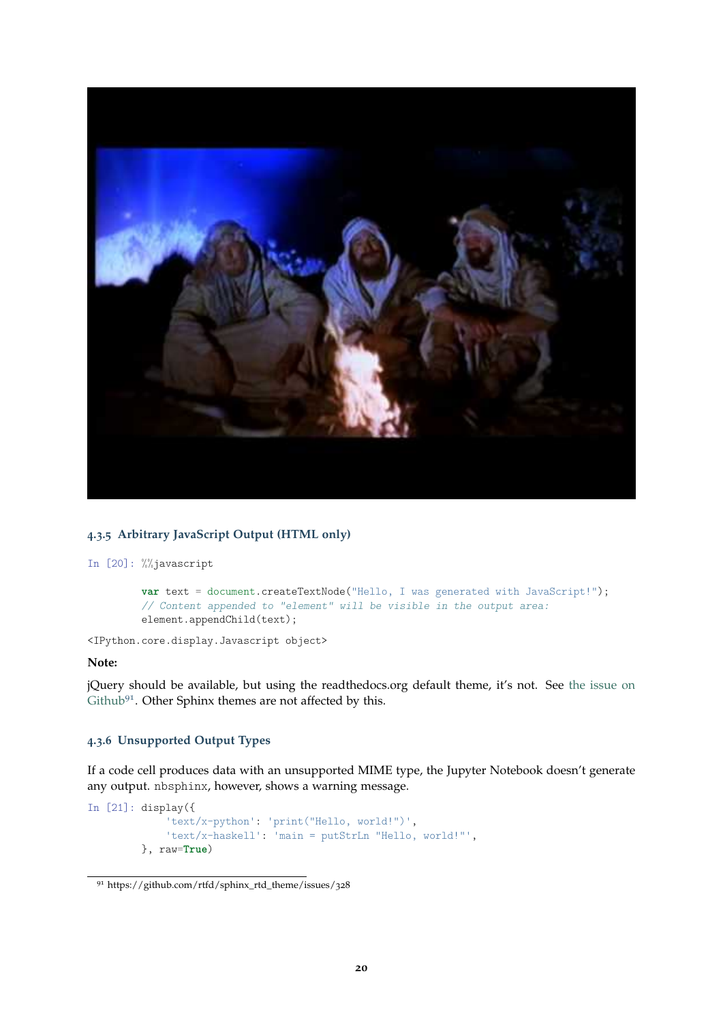

#### <span id="page-19-0"></span>**4.3.5 Arbitrary JavaScript Output (HTML only)**

In [20]: %%javascript

**var** text = document.createTextNode("Hello, I was generated with JavaScript!"); // Content appended to "element" will be visible in the output area: element.appendChild(text);

<IPython.core.display.Javascript object>

### **Note:**

jQuery should be available, but using the readthedocs.org default theme, it's not. See [the issue on](https://github.com/rtfd/sphinx_rtd_theme/issues/328) [Github](https://github.com/rtfd/sphinx_rtd_theme/issues/328)<sup>[91](#page-19-2)</sup>. Other Sphinx themes are not affected by this.

#### <span id="page-19-1"></span>**4.3.6 Unsupported Output Types**

If a code cell produces data with an unsupported MIME type, the Jupyter Notebook doesn't generate any output. nbsphinx, however, shows a warning message.

```
In [21]: display({
             'text/x-python': 'print("Hello, world!")',
             'text/x-haskell': 'main = putStrLn "Hello, world!"',
         }, raw=True)
```
<span id="page-19-2"></span><sup>91</sup> https://github.com/rtfd/sphinx\_rtd\_theme/issues/328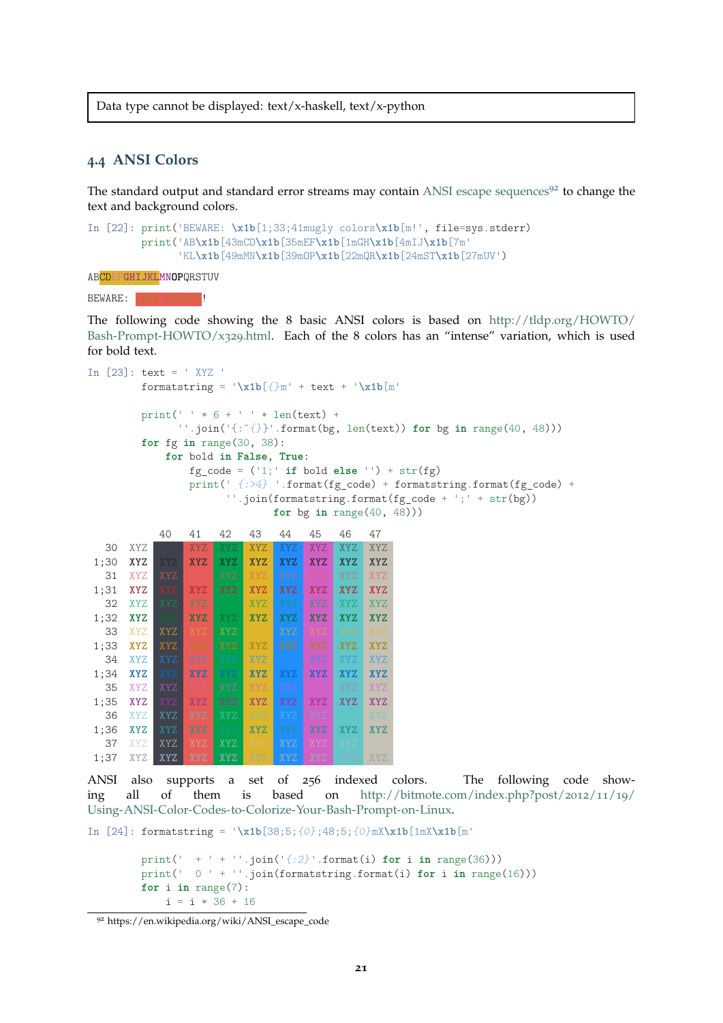Data type cannot be displayed: text/x-haskell, text/x-python

### <span id="page-20-0"></span>**4.4 ANSI Colors**

The standard output and standard error streams may contain [ANSI escape sequences](https://en.wikipedia.org/wiki/ANSI_escape_code)<sup>[92](#page-20-1)</sup> to change the text and background colors.

```
In [22]: print('BEWARE: \x1b[1;33;41mugly colors\x1b[m!', file=sys.stderr)
        print('AB\x1b[43mCD\x1b[35mEF\x1b[1mGH\x1b[4mIJ\x1b[7m'
               'KL\x1b[49mMN\x1b[39mOP\x1b[22mQR\x1b[24mST\x1b[27mUV')
```
ABCDEF**GHIJKLMNOP**QRSTUV

#### BEWARE:

The following code showing the 8 basic ANSI colors is based on [http://tldp.org/HOWTO/](http://tldp.org/HOWTO/Bash-Prompt-HOWTO/x329.html) [Bash-Prompt-HOWTO/x](http://tldp.org/HOWTO/Bash-Prompt-HOWTO/x329.html)329.html. Each of the 8 colors has an "intense" variation, which is used for bold text.

```
In [23]: text = ' XYZ '
        formatstring = '\xi b[{}m' + text + '\xi b[m'
        print(' + * 6 + ' + * len(text) +''.join('{:^{}}'.format(bg, len(text)) for bg in range(40, 48)))
        for fg in range(30, 38):
           for bold in False, True:
               fg_code = ('1;' if bold else '') + str(fg)
               print(' \{:\geq 4\} '.format(fg_code) + formatstring.format(fg_code) +
                     ''.join(formatstring.format(fg code + ';' + str(bg))for bg in range(40, 48)))
           40 41 42 43 44 45 46 47
  30 XYZ XYZ XYZ XYZ XYZ XYZ XYZ XYZ XYZ
1;30 XYZ XYZ XYZ XYZ XYZ XYZ XYZ XYZ XYZ
  31 XYZ XYZ XYZ XYZ XYZ XYZ XYZ XYZ
1;31 XYZ XYZ XYZ XYZ XYZ XYZ XYZ XYZ XYZ
  32 XYZ XYZ XYZ XYZ XYZ XYZ XYZ XYZ
1;32 XYZ XYZ XYZ XYZ XYZ XYZ XYZ XYZ XYZ
  33 XYZ XYZ XYZ XYZ XYZ XYZ XYZ XYZ XYZ
1;33 XYZ XYZ XYZ XYZ XYZ XYZ XYZ XYZ XYZ
  34 XYZ XYZ XYZ XYZ XYZ XYZ XYZ XYZ XYZ
1;34 XYZ XYZ XYZ XYZ XYZ XYZ XYZ XYZ XYZ
  35 XYZ XYZ XYZ XYZ XYZ XYZ XYZ
1;35 XYZ XYZ XYZ XYZ XYZ XYZ XYZ XYZ XYZ
  36 XYZ XYZ XYZ XYZ XYZ XYZ XYZ XYZ
1;36 XYZ XYZ XYZ XYZ XYZ XYZ XYZ XYZ XYZ
  37 XYZ XYZ XYZ XYZ XYZ XYZ XYZ XYZ XYZ
1;37 XYZ XYZ XYZ XYZ XYZ XYZ XYZ XYZ XYZ
```
ANSI also supports a set of 256 indexed colors. The following code showing all of them is based on [http://bitmote.com/index.php?post/](http://bitmote.com/index.php?post/2012/11/19/Using-ANSI-Color-Codes-to-Colorize-Your-Bash-Prompt-on-Linux)2012/11/19/ [Using-ANSI-Color-Codes-to-Colorize-Your-Bash-Prompt-on-Linux.](http://bitmote.com/index.php?post/2012/11/19/Using-ANSI-Color-Codes-to-Colorize-Your-Bash-Prompt-on-Linux)

```
In [24]: formatstring = '\xi1b[38;5;{0};48;5;{0}mX\x1b[1mX\x1b[m'
```

```
print(' + ' + ''.join('{:2}'.format(i) for i in range(36)))
print(' 0 ' + ''.join(formatstring.format(i) for i in range(16)))
for i in range(7):
    i = i * 36 + 16
```
<span id="page-20-1"></span><sup>92</sup> https://en.wikipedia.org/wiki/ANSI\_escape\_code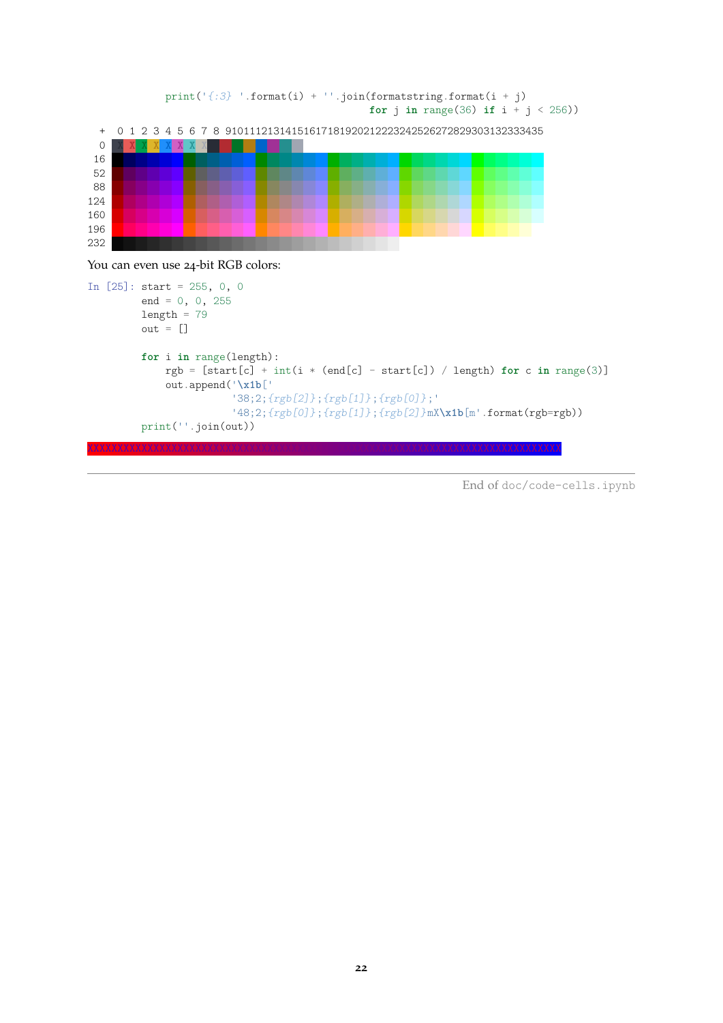

You can even use 24-bit RGB colors:

```
In [25]: start = 255, 0, 0
         end = 0, 0, 255
        length = 79out = []for i in range(length):
            rgb = [start[c] + int(i * (end[c] - start[c]) / length) for c in range(3)]
            out.append('\x1b['
                        '38;2;{rgb[2]};{rgb[1]};{rgb[0]};'
                        '48;2;{rgb[0]};{rgb[1]};{rgb[2]}mX\x1b[m'.format(rgb=rgb))
        print(''.join(out))
```
End of doc/code-cells.ipynb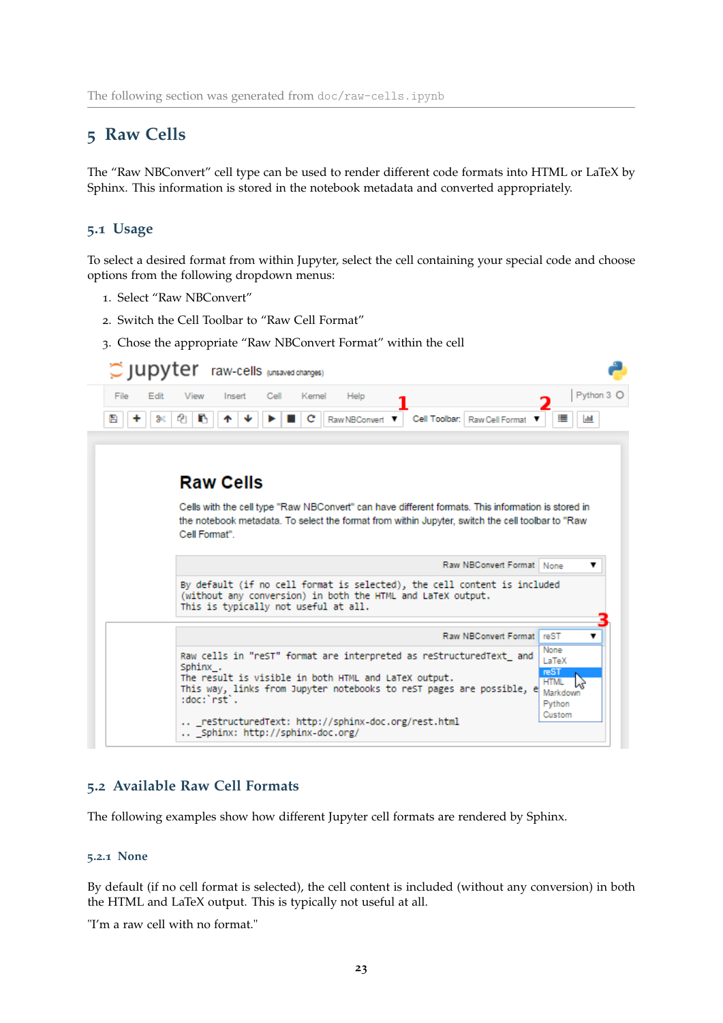# <span id="page-22-0"></span>**5 Raw Cells**

The "Raw NBConvert" cell type can be used to render different code formats into HTML or LaTeX by Sphinx. This information is stored in the notebook metadata and converted appropriately.

### <span id="page-22-1"></span>**5.1 Usage**

To select a desired format from within Jupyter, select the cell containing your special code and choose options from the following dropdown menus:

- 1. Select "Raw NBConvert"
- 2. Switch the Cell Toolbar to "Raw Cell Format"
- 3. Chose the appropriate "Raw NBConvert Format" within the cell

| $\circ$ jupyter                | raw-cells (unsaved changes)                                                                                                                                                                            |                                                                      |
|--------------------------------|--------------------------------------------------------------------------------------------------------------------------------------------------------------------------------------------------------|----------------------------------------------------------------------|
| File<br>Edit<br>View<br>Insert | Cell<br>Kernel<br>Help                                                                                                                                                                                 | Python 3 O                                                           |
| В<br>ж                         | Cell Toolbar: Raw Cell Format<br>Raw NBConvert ▼                                                                                                                                                       |                                                                      |
|                                |                                                                                                                                                                                                        |                                                                      |
| <b>Raw Cells</b>               |                                                                                                                                                                                                        |                                                                      |
| Cell Format"                   | Cells with the cell type "Raw NBConvert" can have different formats. This information is stored in<br>the notebook metadata. To select the format from within Jupyter, switch the cell toolbar to "Raw |                                                                      |
|                                | Raw NBConvert Format   None                                                                                                                                                                            | ▼                                                                    |
|                                | By default (if no cell format is selected), the cell content is included<br>(without any conversion) in both the HTML and LaTeX output.<br>This is typically not useful at all.                        |                                                                      |
|                                |                                                                                                                                                                                                        |                                                                      |
|                                | Raw NBConvert Format reST                                                                                                                                                                              | ▼                                                                    |
| Sphinx .<br>:doc:`rst`.        | Raw cells in "reST" format are interpreted as reStructuredText and<br>The result is visible in both HTML and LaTeX output.<br>This way, links from Jupyter notebooks to reST pages are possible, e     | None<br>LaTeX<br>reST<br><b>HTML</b><br>Markdown<br>Python<br>Custom |

### <span id="page-22-2"></span>**5.2 Available Raw Cell Formats**

The following examples show how different Jupyter cell formats are rendered by Sphinx.

#### <span id="page-22-3"></span>**5.2.1 None**

By default (if no cell format is selected), the cell content is included (without any conversion) in both the HTML and LaTeX output. This is typically not useful at all.

"I'm a raw cell with no format."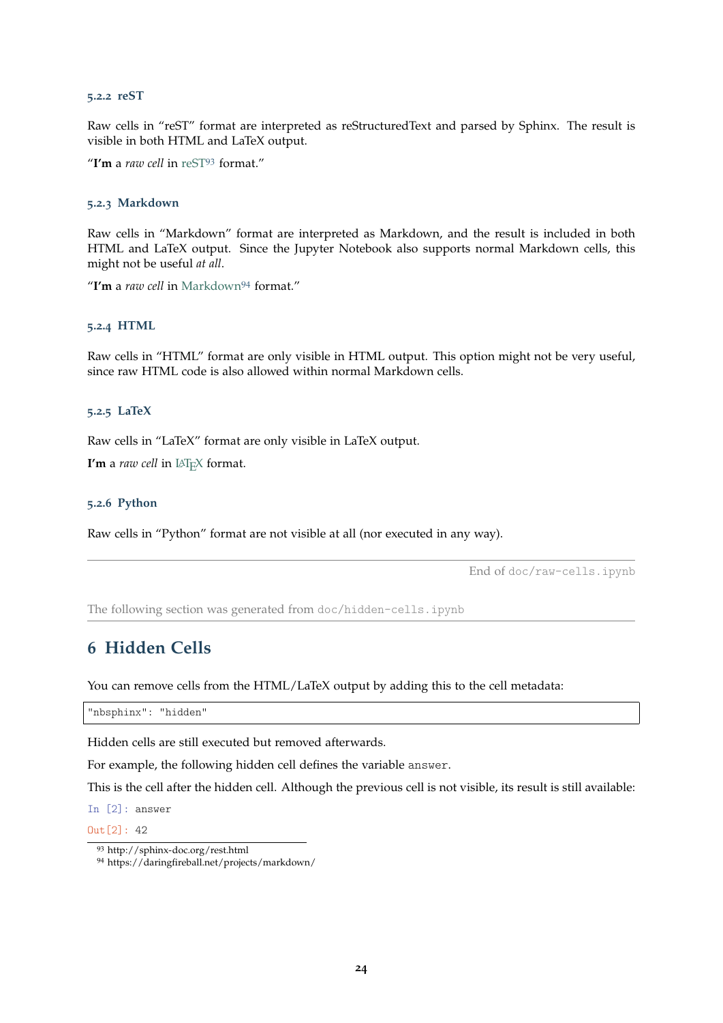#### <span id="page-23-0"></span>**5.2.2 reST**

Raw cells in "reST" format are interpreted as reStructuredText and parsed by Sphinx. The result is visible in both HTML and LaTeX output.

"**I'm** a *raw cell* in [reST](http://sphinx-doc.org/rest.html)[93](#page-23-6) format."

#### <span id="page-23-1"></span>**5.2.3 Markdown**

Raw cells in "Markdown" format are interpreted as Markdown, and the result is included in both HTML and LaTeX output. Since the Jupyter Notebook also supports normal Markdown cells, this might not be useful *at all*.

"**I'm** a *raw cell* in [Markdown](https://daringfireball.net/projects/markdown/)[94](#page-23-7) format."

#### <span id="page-23-2"></span>**5.2.4 HTML**

Raw cells in "HTML" format are only visible in HTML output. This option might not be very useful, since raw HTML code is also allowed within normal Markdown cells.

#### <span id="page-23-3"></span>**5.2.5 LaTeX**

Raw cells in "LaTeX" format are only visible in LaTeX output.

**I'm** a *raw cell* in LAT<sub>E</sub>X format.

#### <span id="page-23-4"></span>**5.2.6 Python**

Raw cells in "Python" format are not visible at all (nor executed in any way).

End of doc/raw-cells.ipynb

The following section was generated from doc/hidden-cells.ipynb

### <span id="page-23-5"></span>**6 Hidden Cells**

You can remove cells from the HTML/LaTeX output by adding this to the cell metadata:

"nbsphinx": "hidden"

Hidden cells are still executed but removed afterwards.

For example, the following hidden cell defines the variable answer.

This is the cell after the hidden cell. Although the previous cell is not visible, its result is still available:

In [2]: answer

 $Out[2]: 42$ 

<span id="page-23-6"></span><sup>93</sup> http://sphinx-doc.org/rest.html

<span id="page-23-7"></span><sup>94</sup> https://daringfireball.net/projects/markdown/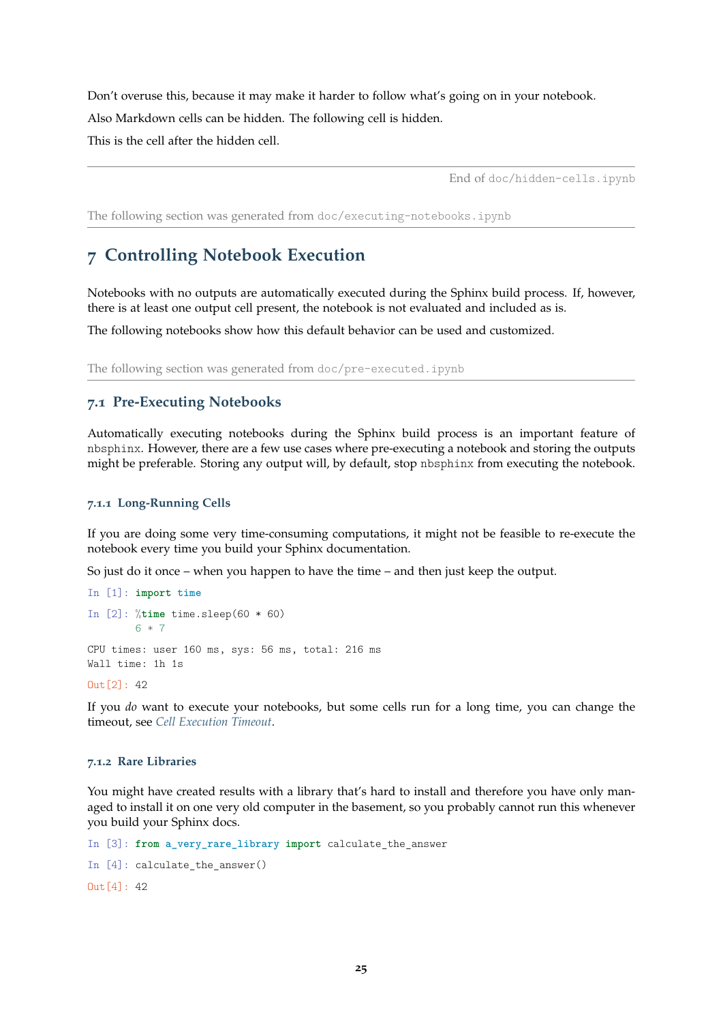Don't overuse this, because it may make it harder to follow what's going on in your notebook. Also Markdown cells can be hidden. The following cell is hidden. This is the cell after the hidden cell.

End of doc/hidden-cells.ipynb

The following section was generated from doc/executing-notebooks.ipynb

# <span id="page-24-0"></span>**7 Controlling Notebook Execution**

Notebooks with no outputs are automatically executed during the Sphinx build process. If, however, there is at least one output cell present, the notebook is not evaluated and included as is.

The following notebooks show how this default behavior can be used and customized.

The following section was generated from doc/pre-executed.ipynb

### <span id="page-24-1"></span>**7.1 Pre-Executing Notebooks**

Automatically executing notebooks during the Sphinx build process is an important feature of nbsphinx. However, there are a few use cases where pre-executing a notebook and storing the outputs might be preferable. Storing any output will, by default, stop nbsphinx from executing the notebook.

#### <span id="page-24-2"></span>**7.1.1 Long-Running Cells**

If you are doing some very time-consuming computations, it might not be feasible to re-execute the notebook every time you build your Sphinx documentation.

So just do it once – when you happen to have the time – and then just keep the output.

```
In [1]: import time
In [2]: %time time.sleep(60 * 60)
        6 * 7CPU times: user 160 ms, sys: 56 ms, total: 216 ms
Wall time: 1h 1s
```
Out[2]: 42

If you *do* want to execute your notebooks, but some cells run for a long time, you can change the timeout, see *[Cell Execution Timeout](#page-27-0)*.

#### <span id="page-24-3"></span>**7.1.2 Rare Libraries**

You might have created results with a library that's hard to install and therefore you have only managed to install it on one very old computer in the basement, so you probably cannot run this whenever you build your Sphinx docs.

```
In [3]: from a_very_rare_library import calculate_the_answer
In [4]: calculate_the_answer()
Out[4]: 42
```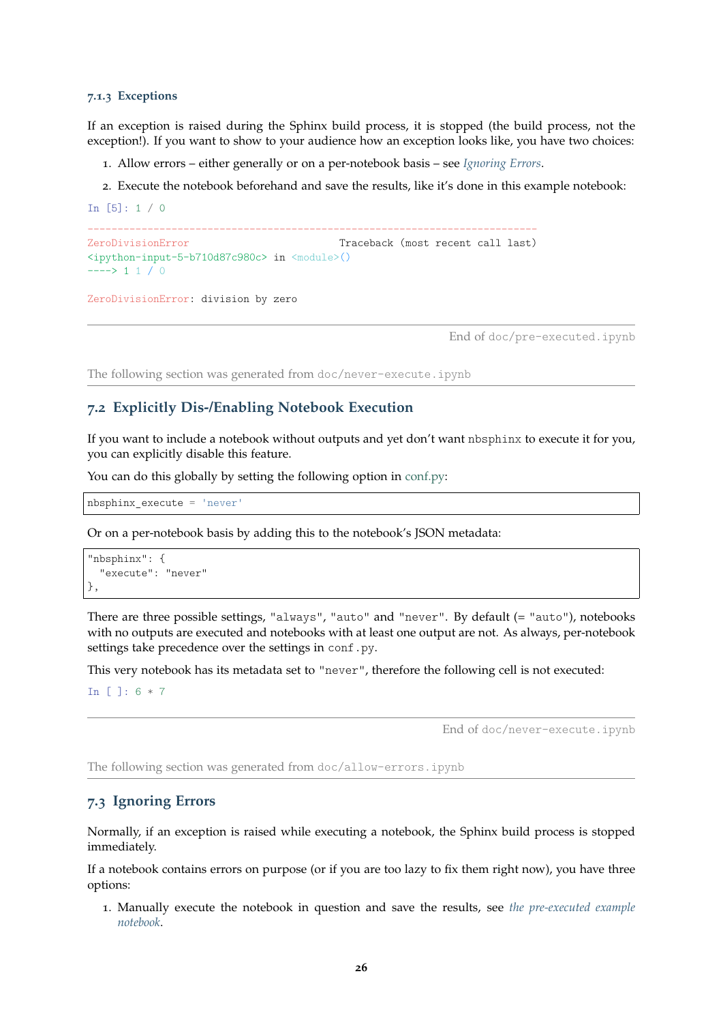#### <span id="page-25-0"></span>**7.1.3 Exceptions**

If an exception is raised during the Sphinx build process, it is stopped (the build process, not the exception!). If you want to show to your audience how an exception looks like, you have two choices:

- 1. Allow errors either generally or on a per-notebook basis see *[Ignoring Errors](#page-25-2)*.
- 2. Execute the notebook beforehand and save the results, like it's done in this example notebook:

In [5]: 1 / 0 --------------------------------------------------------------------------- ZeroDivisionError Traceback (most recent call last) <ipython-input-5-b710d87c980c> in <module>()  $---> 1 1 / 0$ ZeroDivisionError: division by zero

End of doc/pre-executed.ipynb

The following section was generated from doc/never-execute.ipynb

### <span id="page-25-1"></span>**7.2 Explicitly Dis-/Enabling Notebook Execution**

If you want to include a notebook without outputs and yet don't want nbsphinx to execute it for you, you can explicitly disable this feature.

You can do this globally by setting the following option in [conf.py:](conf.py)

```
nbsphinx_execute = 'never'
```
Or on a per-notebook basis by adding this to the notebook's JSON metadata:

```
"nbsphinx": {
  "execute": "never"
},
```
There are three possible settings, "always", "auto" and "never". By default (= "auto"), notebooks with no outputs are executed and notebooks with at least one output are not. As always, per-notebook settings take precedence over the settings in conf.py.

This very notebook has its metadata set to "never", therefore the following cell is not executed:

In [ ]: 6 \* 7

End of doc/never-execute.ipynb

The following section was generated from doc/allow-errors.ipynb

#### <span id="page-25-2"></span>**7.3 Ignoring Errors**

Normally, if an exception is raised while executing a notebook, the Sphinx build process is stopped immediately.

If a notebook contains errors on purpose (or if you are too lazy to fix them right now), you have three options:

1. Manually execute the notebook in question and save the results, see *[the pre-executed example](#page-24-1) [notebook](#page-24-1)*.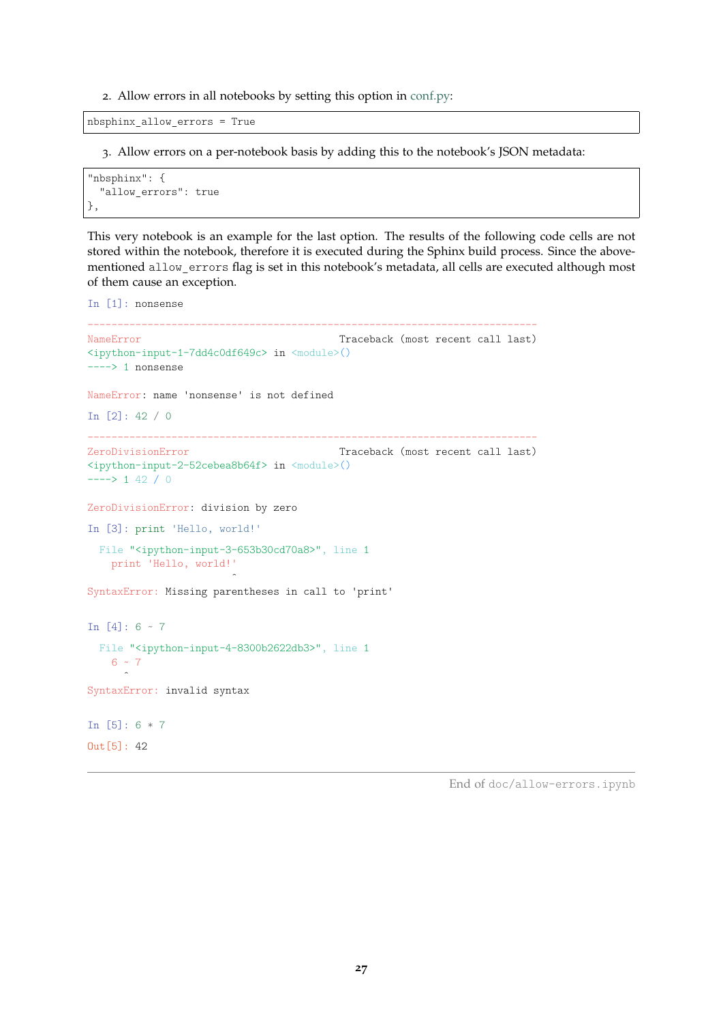2. Allow errors in all notebooks by setting this option in [conf.py:](conf.py)

nbsphinx\_allow\_errors = True

3. Allow errors on a per-notebook basis by adding this to the notebook's JSON metadata:

```
"nbsphinx": {
  "allow_errors": true
},
```
This very notebook is an example for the last option. The results of the following code cells are not stored within the notebook, therefore it is executed during the Sphinx build process. Since the abovementioned allow\_errors flag is set in this notebook's metadata, all cells are executed although most of them cause an exception.

```
In [1]: nonsense
---------------------------------------------------------------------------
NameError Traceback (most recent call last)
<ipython-input-1-7dd4c0df649c> in <module>()
----> 1 nonsense
NameError: name 'nonsense' is not defined
In [2]: 42 / 0
---------------------------------------------------------------------------
ZeroDivisionError Traceback (most recent call last)
<ipython-input-2-52cebea8b64f> in <module>()
---> 1 42 / 0ZeroDivisionError: division by zero
In [3]: print 'Hello, world!'
 File "<ipython-input-3-653b30cd70a8>", line 1
   print 'Hello, world!'
                      ˆ
SyntaxError: Missing parentheses in call to 'print'
In [4]: 6 \sim 7File "<ipython-input-4-8300b2622db3>", line 1
   6 - 7ˆ
SyntaxError: invalid syntax
In [5]: 6 * 7
Out[5]: 42
```
End of doc/allow-errors.ipynb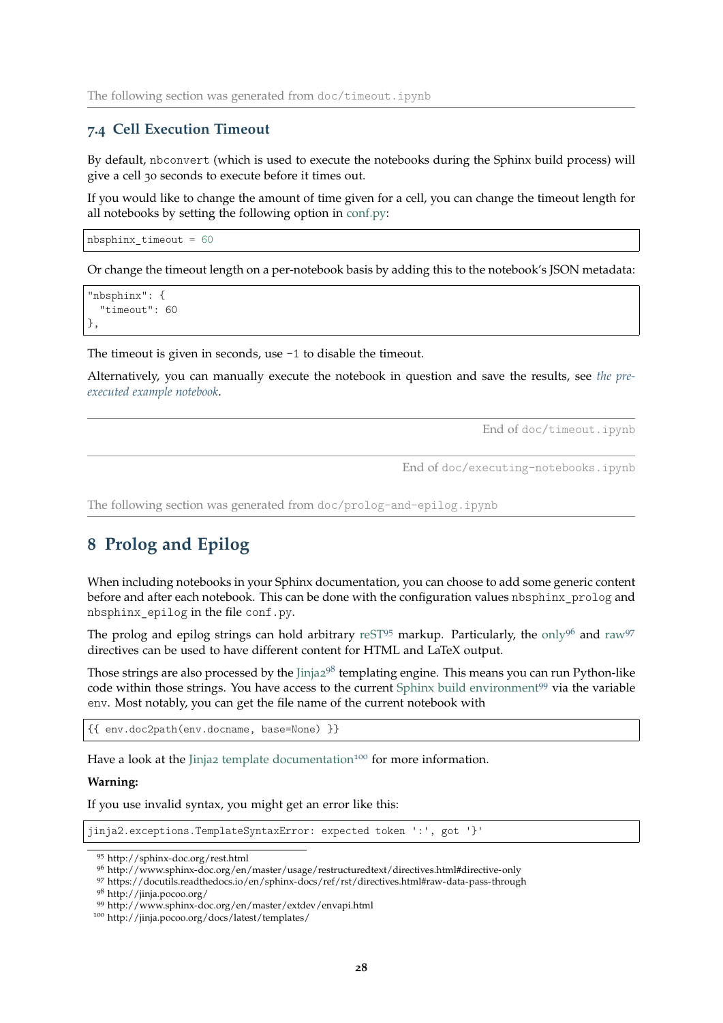#### <span id="page-27-0"></span>**7.4 Cell Execution Timeout**

By default, nbconvert (which is used to execute the notebooks during the Sphinx build process) will give a cell 30 seconds to execute before it times out.

If you would like to change the amount of time given for a cell, you can change the timeout length for all notebooks by setting the following option in [conf.py:](conf.py)

nbsphinx\_timeout = 60

Or change the timeout length on a per-notebook basis by adding this to the notebook's JSON metadata:

```
"nbsphinx": {
  "timeout": 60
},
```
The timeout is given in seconds, use -1 to disable the timeout.

Alternatively, you can manually execute the notebook in question and save the results, see *[the pre](#page-24-1)[executed example notebook](#page-24-1)*.

End of doc/timeout.ipynb

End of doc/executing-notebooks.ipynb

The following section was generated from doc/prolog-and-epilog.ipynb

### <span id="page-27-1"></span>**8 Prolog and Epilog**

When including notebooks in your Sphinx documentation, you can choose to add some generic content before and after each notebook. This can be done with the configuration values nbsphinx prolog and nbsphinx\_epilog in the file conf.py.

The prolog and epilog strings can hold arbitrary [reST](http://sphinx-doc.org/rest.html)<sup>[95](#page-27-2)</sup> markup. Particularly, the [only](http://www.sphinx-doc.org/en/master/usage/restructuredtext/directives.html#directive-only)<sup>[96](#page-27-3)</sup> and [raw](https://docutils.readthedocs.io/en/sphinx-docs/ref/rst/directives.html#raw-data-pass-through)<sup>[97](#page-27-4)</sup> directives can be used to have different content for HTML and LaTeX output.

Those strings are also processed by the [Jinja](http://jinja.pocoo.org/)2<sup>[98](#page-27-5)</sup> templating engine. This means you can run Python-like code within those strings. You have access to the current [Sphinx build environment](http://www.sphinx-doc.org/en/master/extdev/envapi.html)<sup>[99](#page-27-6)</sup> via the variable env. Most notably, you can get the file name of the current notebook with

```
{{ env.doc2path(env.docname, base=None) }}
```
Have a look at the Jinja2 [template documentation](http://jinja.pocoo.org/docs/latest/templates/)<sup>[100](#page-27-7)</sup> for more information.

#### **Warning:**

If you use invalid syntax, you might get an error like this:

jinja2.exceptions.TemplateSyntaxError: expected token ':', got '}'

<span id="page-27-2"></span><sup>95</sup> http://sphinx-doc.org/rest.html

<span id="page-27-3"></span><sup>96</sup> http://www.sphinx-doc.org/en/master/usage/restructuredtext/directives.html#directive-only

<span id="page-27-4"></span><sup>97</sup> https://docutils.readthedocs.io/en/sphinx-docs/ref/rst/directives.html#raw-data-pass-through

<span id="page-27-5"></span><sup>98</sup> http://jinja.pocoo.org/

<span id="page-27-6"></span><sup>99</sup> http://www.sphinx-doc.org/en/master/extdev/envapi.html

<span id="page-27-7"></span><sup>100</sup> http://jinja.pocoo.org/docs/latest/templates/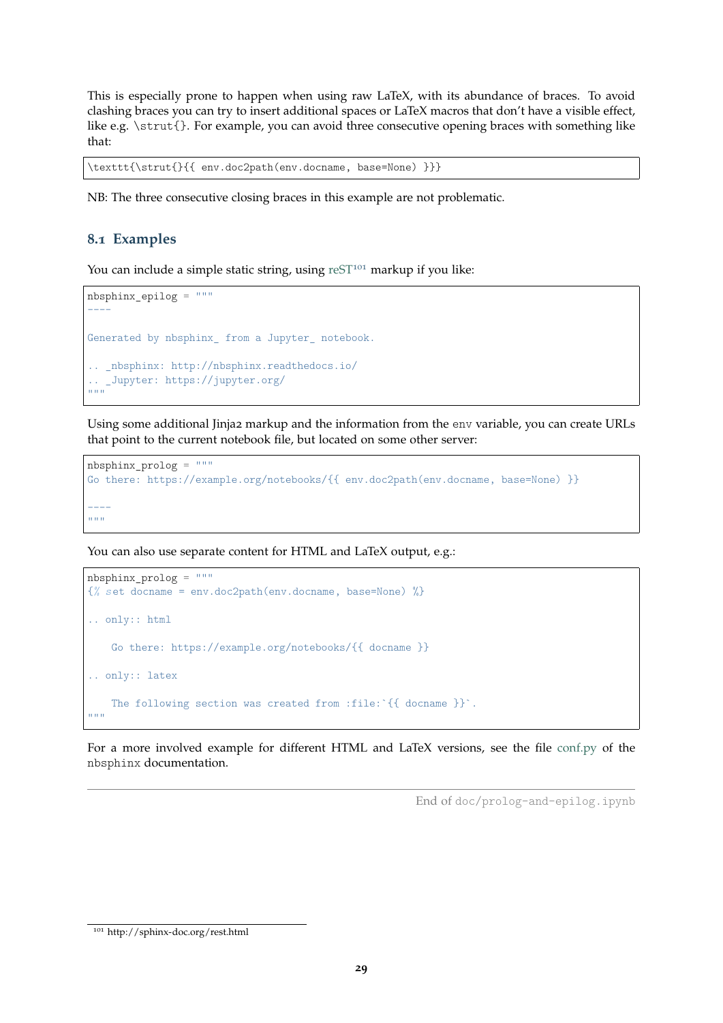This is especially prone to happen when using raw LaTeX, with its abundance of braces. To avoid clashing braces you can try to insert additional spaces or LaTeX macros that don't have a visible effect, like e.g. \strut{}. For example, you can avoid three consecutive opening braces with something like that:

```
\texttt{\strut{}{{ env.doc2path(env.docname, base=None) }}}
```
NB: The three consecutive closing braces in this example are not problematic.

#### <span id="page-28-0"></span>**8.1 Examples**

You can include a simple static string, using  $resT<sup>101</sup>$  $resT<sup>101</sup>$  $resT<sup>101</sup>$  markup if you like:

```
nbsphinx_epilog = """
----
Generated by nbsphinx_ from a Jupyter_ notebook.
  .. _nbsphinx: http://nbsphinx.readthedocs.io/
.. _Jupyter: https://jupyter.org/
. . . . .
```
Using some additional Jinja2 markup and the information from the env variable, you can create URLs that point to the current notebook file, but located on some other server:

```
{\tt nbsphinx\_prolog} \ = \ " \ " \  \  \cdotsGo there: https://example.org/notebooks/{{ env.doc2path(env.docname, base=None) }}
----
""" "
```
You can also use separate content for HTML and LaTeX output, e.g.:

```
nbsphinx_prolog = """
{% set docname = env.doc2path(env.docname, base=None) %}
.. only:: html
    Go there: https://example.org/notebooks/{{ docname }}
.. only:: latex
    The following section was created from :file:`{{ docname }}`.
^{\mathrm{m}} ""
```
For a more involved example for different HTML and LaTeX versions, see the file <conf.py> of the nbsphinx documentation.

End of doc/prolog-and-epilog.ipynb

<span id="page-28-1"></span> $^{101}$ http://sphinx-doc.org/rest.html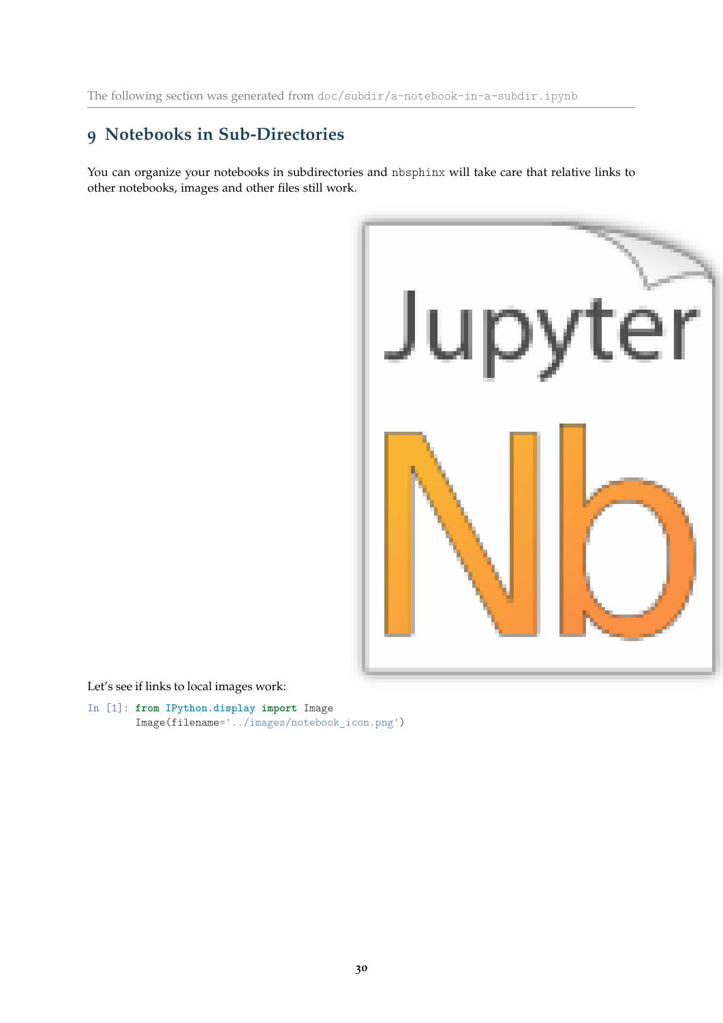# <span id="page-29-0"></span>**9 Notebooks in Sub-Directories**

You can organize your notebooks in subdirectories and nbsphinx will take care that relative links to other notebooks, images and other files still work.



Let's see if links to local images work:

In [1]: **from IPython.display import** Image Image(filename='../images/notebook\_icon.png')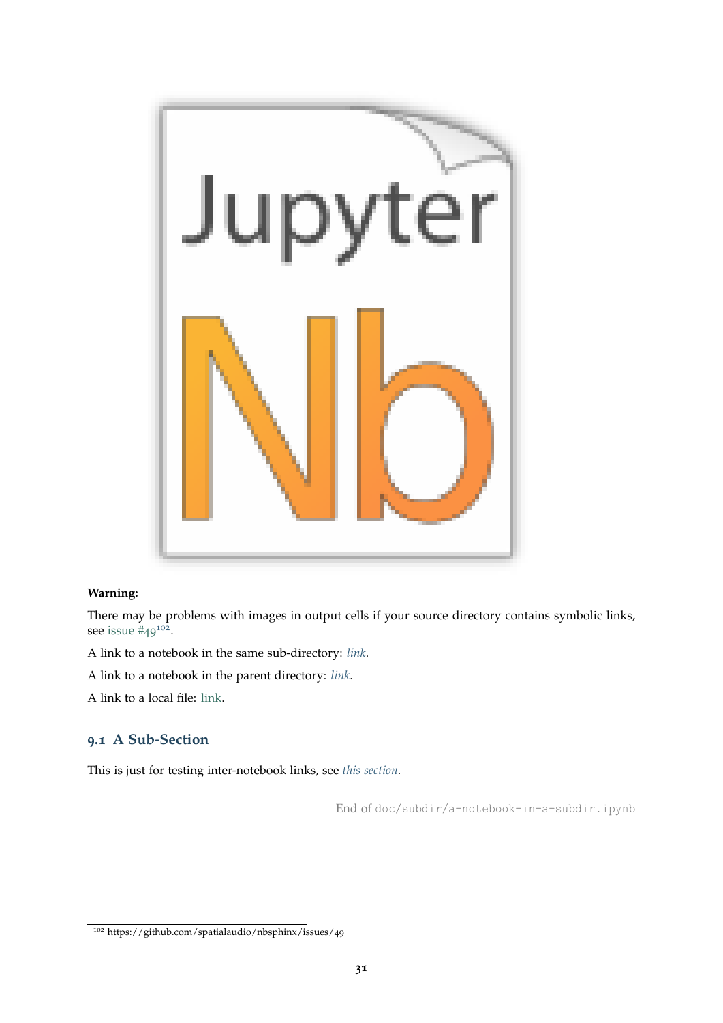

### **Warning:**

There may be problems with images in output cells if your source directory contains symbolic links, see issue  $#49^{102}$  $#49^{102}$  $#49^{102}$ .

A link to a notebook in the same sub-directory: *[link](#page-31-0)*.

A link to a notebook in the parent directory: *[link](#page-10-0)*.

A link to a local file: [link.](../images/notebook_icon.png)

### <span id="page-30-0"></span>**9.1 A Sub-Section**

This is just for testing inter-notebook links, see *[this section](#page-13-1)*.

End of doc/subdir/a-notebook-in-a-subdir.ipynb

<span id="page-30-1"></span><sup>102</sup> https://github.com/spatialaudio/nbsphinx/issues/49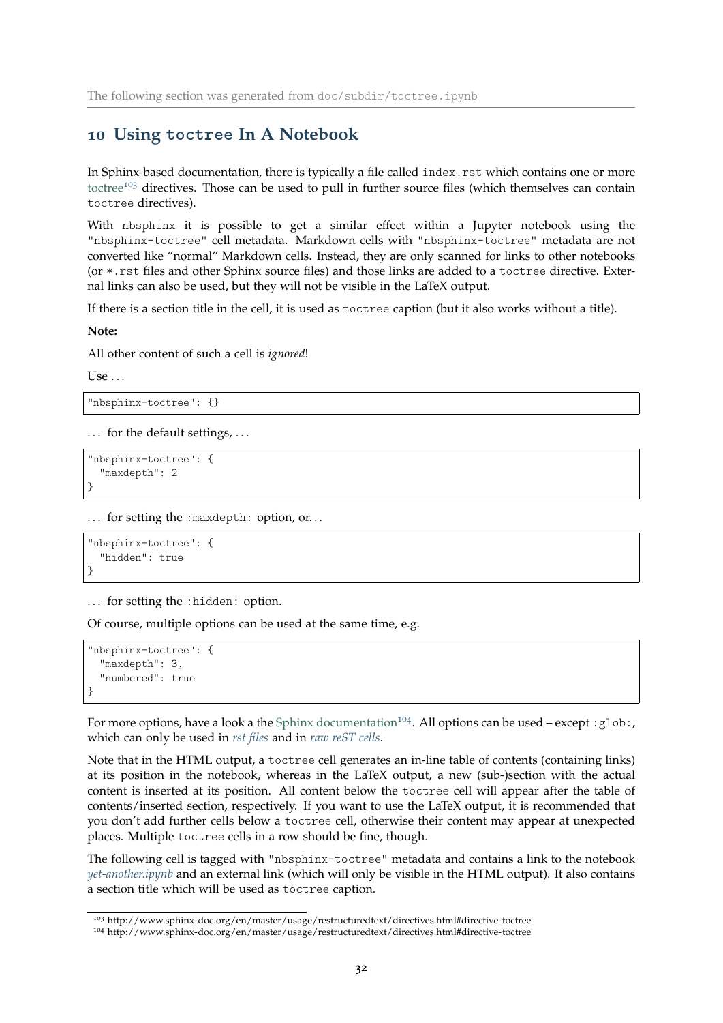### <span id="page-31-0"></span>**10 Using toctree In A Notebook**

In Sphinx-based documentation, there is typically a file called index.rst which contains one or more [toctree](http://www.sphinx-doc.org/en/master/usage/restructuredtext/directives.html#directive-toctree)<sup>[103](#page-31-1)</sup> directives. Those can be used to pull in further source files (which themselves can contain toctree directives).

With nbsphinx it is possible to get a similar effect within a Jupyter notebook using the "nbsphinx-toctree" cell metadata. Markdown cells with "nbsphinx-toctree" metadata are not converted like "normal" Markdown cells. Instead, they are only scanned for links to other notebooks (or \*.rst files and other Sphinx source files) and those links are added to a toctree directive. External links can also be used, but they will not be visible in the LaTeX output.

If there is a section title in the cell, it is used as toctree caption (but it also works without a title).

**Note:**

All other content of such a cell is *ignored*!

Use  $\ldots$ 

```
"nbsphinx-toctree": {}
```
... for the default settings, ...

"nbsphinx-toctree": { "maxdepth": 2 }

... for setting the : maxdepth: option, or...

```
"nbsphinx-toctree": {
  "hidden": true
}
```
... for setting the : hidden: option.

Of course, multiple options can be used at the same time, e.g.

```
"nbsphinx-toctree": {
  "maxdepth": 3,
  "numbered": true
}
```
For more options, have a look a the [Sphinx documentation](http://www.sphinx-doc.org/en/master/usage/restructuredtext/directives.html#directive-toctree)<sup>[104](#page-31-2)</sup>. All options can be used – except :  $g$ lob:, which can only be used in *[rst files](#page-33-0)* and in *[raw reST cells](#page-23-0)*.

Note that in the HTML output, a toctree cell generates an in-line table of contents (containing links) at its position in the notebook, whereas in the LaTeX output, a new (sub-)section with the actual content is inserted at its position. All content below the toctree cell will appear after the table of contents/inserted section, respectively. If you want to use the LaTeX output, it is recommended that you don't add further cells below a toctree cell, otherwise their content may appear at unexpected places. Multiple toctree cells in a row should be fine, though.

The following cell is tagged with "nbsphinx-toctree" metadata and contains a link to the notebook *[yet-another.ipynb](#page-32-0)* and an external link (which will only be visible in the HTML output). It also contains a section title which will be used as toctree caption.

<span id="page-31-1"></span><sup>103</sup> http://www.sphinx-doc.org/en/master/usage/restructuredtext/directives.html#directive-toctree

<span id="page-31-2"></span><sup>104</sup> http://www.sphinx-doc.org/en/master/usage/restructuredtext/directives.html#directive-toctree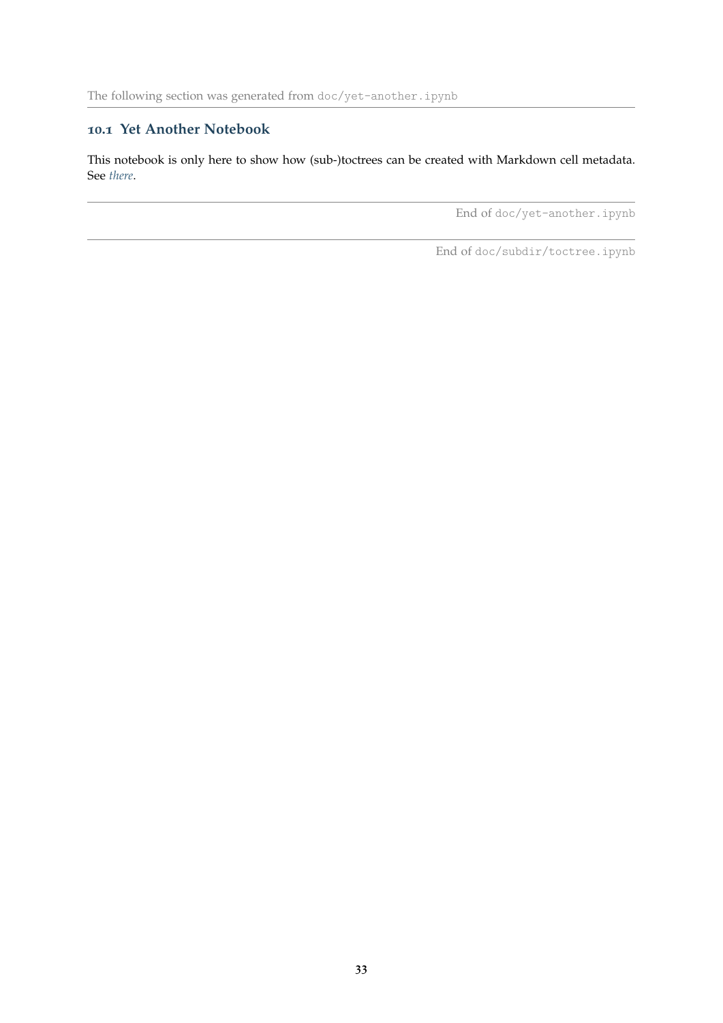## <span id="page-32-0"></span>**10.1 Yet Another Notebook**

This notebook is only here to show how (sub-)toctrees can be created with Markdown cell metadata. See *[there](#page-31-0)*.

End of doc/yet-another.ipynb

End of doc/subdir/toctree.ipynb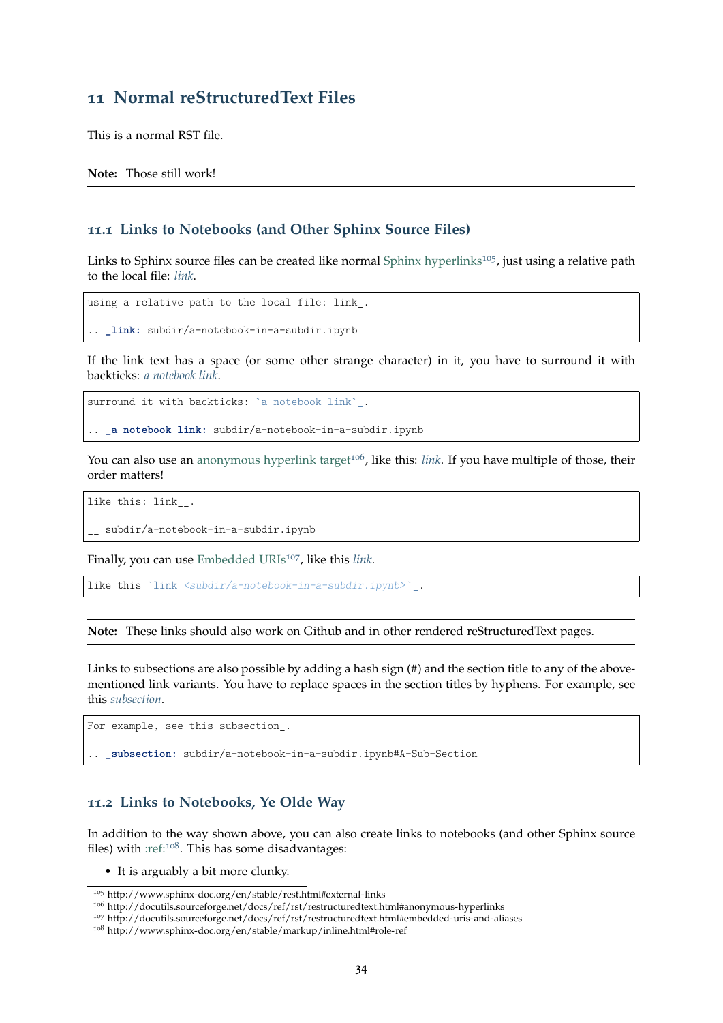### <span id="page-33-0"></span>**11 Normal reStructuredText Files**

This is a normal RST file.

**Note:** Those still work!

#### <span id="page-33-1"></span>**11.1 Links to Notebooks (and Other Sphinx Source Files)**

Links to Sphinx source files can be created like normal [Sphinx hyperlinks](http://www.sphinx-doc.org/en/stable/rest.html#external-links)<sup>[105](#page-33-3)</sup>, just using a relative path to the local file: *[link](#page-29-0)*.

using a relative path to the local file: link\_.

.. **\_link:** subdir/a-notebook-in-a-subdir.ipynb

If the link text has a space (or some other strange character) in it, you have to surround it with backticks: *[a notebook link](#page-29-0)*.

surround it with backticks: `a notebook link`.

.. **\_a notebook link:** subdir/a-notebook-in-a-subdir.ipynb

You can also use an [anonymous hyperlink target](http://docutils.sourceforge.net/docs/ref/rst/restructuredtext.html#anonymous-hyperlinks)<sup>[106](#page-33-4)</sup>, like this: *[link](#page-29-0)*. If you have multiple of those, their order matters!

like this: link\_\_.

subdir/a-notebook-in-a-subdir.ipynb

Finally, you can use [Embedded URIs](http://docutils.sourceforge.net/docs/ref/rst/restructuredtext.html#embedded-uris-and-aliases)<sup>[107](#page-33-5)</sup>, like this *[link](#page-29-0)*.

like this `link <subdir/a-notebook-in-a-subdir.ipynb>`\_.

**Note:** These links should also work on Github and in other rendered reStructuredText pages.

Links to subsections are also possible by adding a hash sign (#) and the section title to any of the abovementioned link variants. You have to replace spaces in the section titles by hyphens. For example, see this *[subsection](#page-30-0)*.

For example, see this subsection\_.

.. **\_subsection:** subdir/a-notebook-in-a-subdir.ipynb#A-Sub-Section

#### <span id="page-33-2"></span>**11.2 Links to Notebooks, Ye Olde Way**

In addition to the way shown above, you can also create links to notebooks (and other Sphinx source files) with [:ref:](http://www.sphinx-doc.org/en/stable/markup/inline.html#role-ref)[108](#page-33-6). This has some disadvantages:

• It is arguably a bit more clunky.

<span id="page-33-3"></span><sup>105</sup> http://www.sphinx-doc.org/en/stable/rest.html#external-links

<span id="page-33-4"></span><sup>106</sup> http://docutils.sourceforge.net/docs/ref/rst/restructuredtext.html#anonymous-hyperlinks

<span id="page-33-5"></span><sup>107</sup> http://docutils.sourceforge.net/docs/ref/rst/restructuredtext.html#embedded-uris-and-aliases

<span id="page-33-6"></span><sup>108</sup> http://www.sphinx-doc.org/en/stable/markup/inline.html#role-ref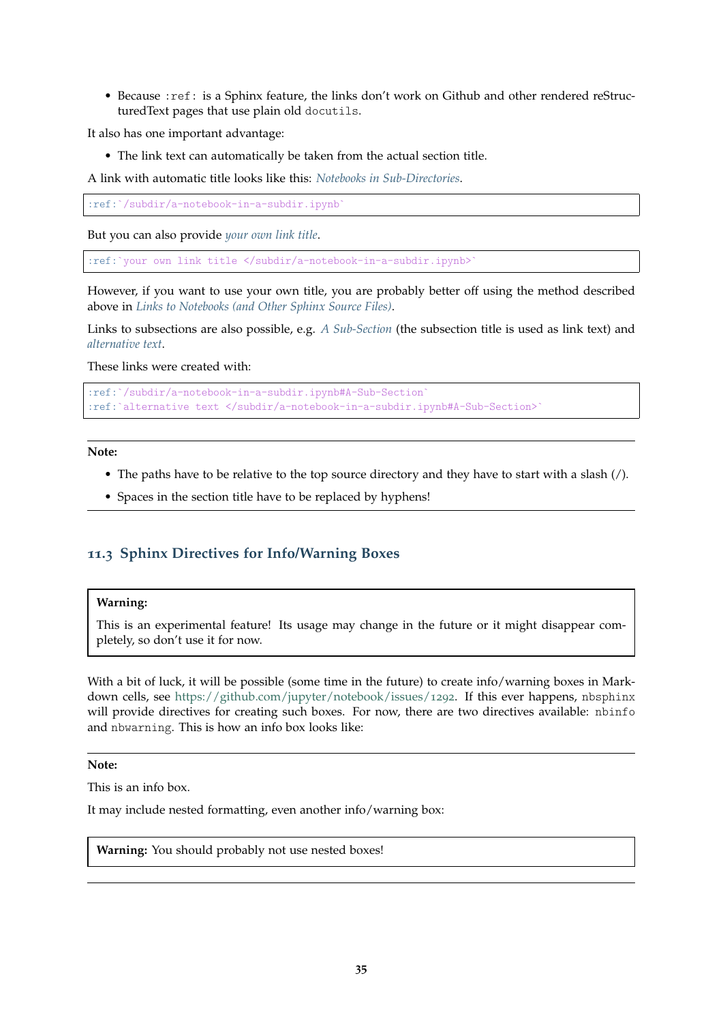• Because :ref: is a Sphinx feature, the links don't work on Github and other rendered reStructuredText pages that use plain old docutils.

It also has one important advantage:

• The link text can automatically be taken from the actual section title.

A link with automatic title looks like this: *[Notebooks in Sub-Directories](#page-29-0)*.

:ref:`/subdir/a-notebook-in-a-subdir.ipynb`

But you can also provide *[your own link title](#page-29-0)*.

:ref:`your own link title </subdir/a-notebook-in-a-subdir.ipynb>

However, if you want to use your own title, you are probably better off using the method described above in *[Links to Notebooks \(and Other Sphinx Source Files\)](#page-33-1)*.

Links to subsections are also possible, e.g. *[A Sub-Section](#page-30-0)* (the subsection title is used as link text) and *[alternative text](#page-30-0)*.

These links were created with:

```
:ref:`/subdir/a-notebook-in-a-subdir.ipynb#A-Sub-Section`
:ref:`alternative text </subdir/a-notebook-in-a-subdir.ipynb#A-Sub-Section>`
```
**Note:**

- The paths have to be relative to the top source directory and they have to start with a slash (/).
- Spaces in the section title have to be replaced by hyphens!

### <span id="page-34-0"></span>**11.3 Sphinx Directives for Info/Warning Boxes**

#### **Warning:**

This is an experimental feature! Its usage may change in the future or it might disappear completely, so don't use it for now.

With a bit of luck, it will be possible (some time in the future) to create info/warning boxes in Markdown cells, see [https://github.com/jupyter/notebook/issues/](https://github.com/jupyter/notebook/issues/1292)1292. If this ever happens, nbsphinx will provide directives for creating such boxes. For now, there are two directives available: nbinfo and nbwarning. This is how an info box looks like:

#### **Note:**

This is an info box.

It may include nested formatting, even another info/warning box:

**Warning:** You should probably not use nested boxes!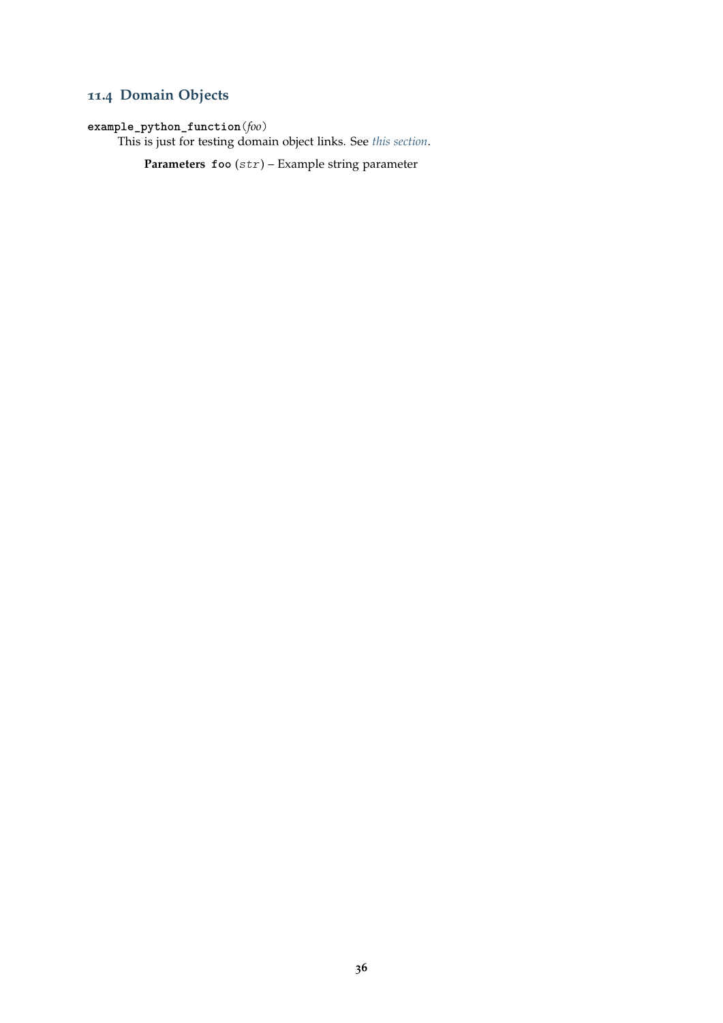# <span id="page-35-0"></span>**11.4 Domain Objects**

### <span id="page-35-1"></span>**example\_python\_function**(*foo*)

This is just for testing domain object links. See *[this section](#page-14-2)*.

**Parameters foo** (str) – Example string parameter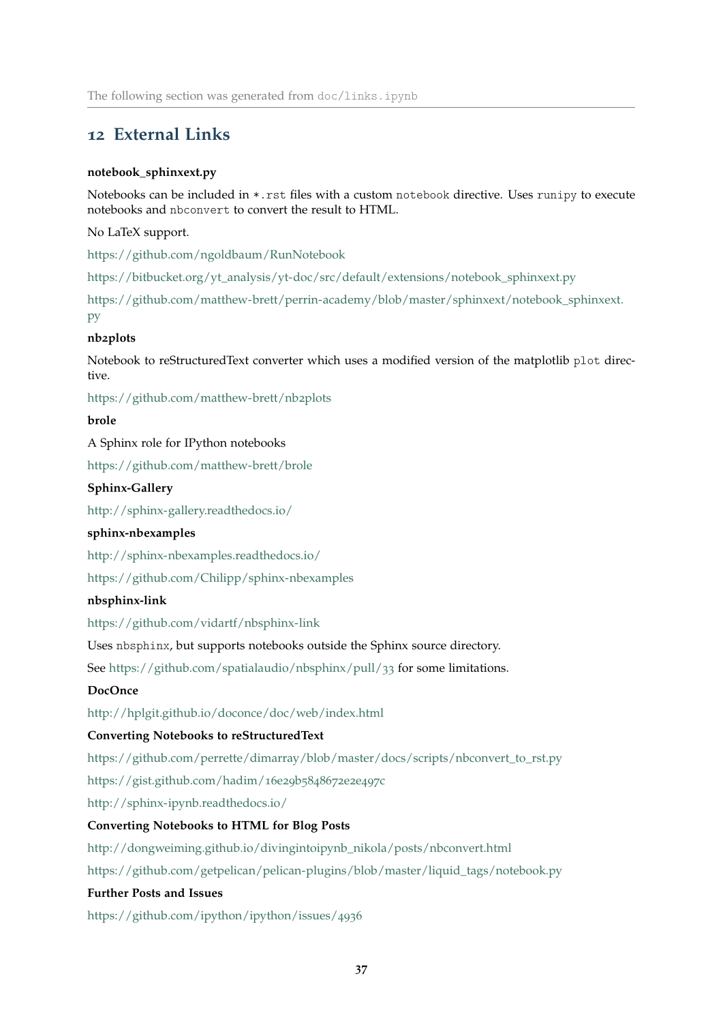### <span id="page-36-0"></span>**12 External Links**

#### **notebook\_sphinxext.py**

Notebooks can be included in \*.rst files with a custom notebook directive. Uses runipy to execute notebooks and nbconvert to convert the result to HTML.

#### No LaTeX support.

<https://github.com/ngoldbaum/RunNotebook>

[https://bitbucket.org/yt\\_analysis/yt-doc/src/default/extensions/notebook\\_sphinxext.py](https://bitbucket.org/yt_analysis/yt-doc/src/default/extensions/notebook_sphinxext.py)

[https://github.com/matthew-brett/perrin-academy/blob/master/sphinxext/notebook\\_sphinxext.](https://github.com/matthew-brett/perrin-academy/blob/master/sphinxext/notebook_sphinxext.py) [py](https://github.com/matthew-brett/perrin-academy/blob/master/sphinxext/notebook_sphinxext.py)

#### **nb2plots**

Notebook to reStructuredText converter which uses a modified version of the matplotlib plot directive.

[https://github.com/matthew-brett/nb](https://github.com/matthew-brett/nb2plots)2plots

### **brole**

#### A Sphinx role for IPython notebooks

<https://github.com/matthew-brett/brole>

#### **Sphinx-Gallery**

<http://sphinx-gallery.readthedocs.io/>

#### **sphinx-nbexamples**

<http://sphinx-nbexamples.readthedocs.io/>

<https://github.com/Chilipp/sphinx-nbexamples>

#### **nbsphinx-link**

<https://github.com/vidartf/nbsphinx-link>

Uses nbsphinx, but supports notebooks outside the Sphinx source directory.

See [https://github.com/spatialaudio/nbsphinx/pull/](https://github.com/spatialaudio/nbsphinx/pull/33)33 for some limitations.

### **DocOnce**

<http://hplgit.github.io/doconce/doc/web/index.html>

#### **Converting Notebooks to reStructuredText**

[https://github.com/perrette/dimarray/blob/master/docs/scripts/nbconvert\\_to\\_rst.py](https://github.com/perrette/dimarray/blob/master/docs/scripts/nbconvert_to_rst.py)

[https://gist.github.com/hadim/](https://gist.github.com/hadim/16e29b5848672e2e497c)16e29b5848672e2e497c

<http://sphinx-ipynb.readthedocs.io/>

#### **Converting Notebooks to HTML for Blog Posts**

[http://dongweiming.github.io/divingintoipynb\\_nikola/posts/nbconvert.html](http://dongweiming.github.io/divingintoipynb_nikola/posts/nbconvert.html)

[https://github.com/getpelican/pelican-plugins/blob/master/liquid\\_tags/notebook.py](https://github.com/getpelican/pelican-plugins/blob/master/liquid_tags/notebook.py)

#### **Further Posts and Issues**

[https://github.com/ipython/ipython/issues/](https://github.com/ipython/ipython/issues/4936)4936